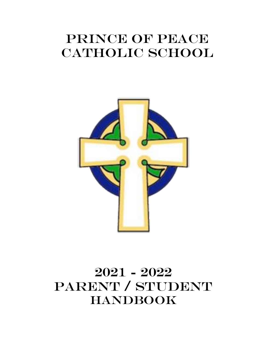# PRINCE OF PEACE CATHOLIC SCHOOL



# 2021 - 2022 PARENT / STUDENT HANDBOOK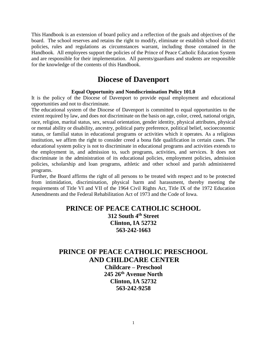This Handbook is an extension of board policy and a reflection of the goals and objectives of the board. The school reserves and retains the right to modify, eliminate or establish school district policies, rules and regulations as circumstances warrant, including those contained in the Handbook. All employees support the policies of the Prince of Peace Catholic Education System and are responsible for their implementation. All parents/guardians and students are responsible for the knowledge of the contents of this Handbook.

## **Diocese of Davenport**

#### **Equal Opportunity and Nondiscrimination Policy 101.0**

It is the policy of the Diocese of Davenport to provide equal employment and educational opportunities and not to discriminate.

The educational system of the Diocese of Davenport is committed to equal opportunities to the extent required by law, and does not discriminate on the basis on age, color, creed, national origin, race, religion, marital status, sex, sexual orientation, gender identity, physical attributes, physical or mental ability or disability, ancestry, political party preference, political belief, socioeconomic status, or familial status in educational programs or activities which it operates. As a religious institution, we affirm the right to consider creed a bona fide qualification in certain cases. The educational system policy is not to discriminate in educational programs and activities extends to the employment in, and admission to, such programs, activities, and services. It does not discriminate in the administration of its educational policies, employment policies, admission policies, scholarship and loan programs, athletic and other school and parish administered programs.

Further, the Board affirms the right of all persons to be treated with respect and to be protected from intimidation, discrimination, physical harm and harassment, thereby meeting the requirements of Title VI and VII of the 1964 Civil Rights Act, Title IX of the 1972 Education Amendments and the Federal Rehabilitation Act of 1973 and the Code of Iowa.

### **PRINCE OF PEACE CATHOLIC SCHOOL 312 South 4th Street Clinton, IA 52732 563-242-1663**

### **PRINCE OF PEACE CATHOLIC PRESCHOOL AND CHILDCARE CENTER**

**Childcare – Preschool 245 26th Avenue North Clinton, IA 52732 563-242-9258**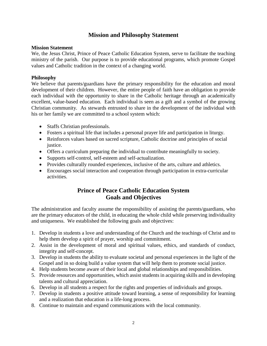### **Mission and Philosophy Statement**

#### **Mission Statement**

We, the Jesus Christ, Prince of Peace Catholic Education System, serve to facilitate the teaching ministry of the parish. Our purpose is to provide educational programs, which promote Gospel values and Catholic tradition in the context of a changing world.

#### **Philosophy**

We believe that parents/guardians have the primary responsibility for the education and moral development of their children. However, the entire people of faith have an obligation to provide each individual with the opportunity to share in the Catholic heritage through an academically excellent, value-based education. Each individual is seen as a gift and a symbol of the growing Christian community. As stewards entrusted to share in the development of the individual with his or her family we are committed to a school system which:

- Staffs Christian professionals.
- Fosters a spiritual life that includes a personal prayer life and participation in liturgy.
- Reinforces values based on sacred scripture, Catholic doctrine and principles of social justice.
- Offers a curriculum preparing the individual to contribute meaningfully to society.
- Supports self-control, self-esteem and self-actualization.
- Provides culturally rounded experiences, inclusive of the arts, culture and athletics.
- Encourages social interaction and cooperation through participation in extra-curricular activities.

### **Prince of Peace Catholic Education System Goals and Objectives**

The administration and faculty assume the responsibility of assisting the parents/guardians, who are the primary educators of the child, in educating the whole child while preserving individuality and uniqueness. We established the following goals and objectives:

- 1. Develop in students a love and understanding of the Church and the teachings of Christ and to help them develop a spirit of prayer, worship and commitment.
- 2. Assist in the development of moral and spiritual values, ethics, and standards of conduct, integrity and self-concept.
- 3. Develop in students the ability to evaluate societal and personal experiences in the light of the Gospel and in so doing build a value system that will help them to promote social justice.
- 4. Help students become aware of their local and global relationships and responsibilities.
- 5. Provide resources and opportunities, which assist students in acquiring skills and in developing talents and cultural appreciation.
- 6. Develop in all students a respect for the rights and properties of individuals and groups.
- 7. Develop in students a positive attitude toward learning, a sense of responsibility for learning and a realization that education is a life-long process.
- 8. Continue to maintain and expand communications with the local community.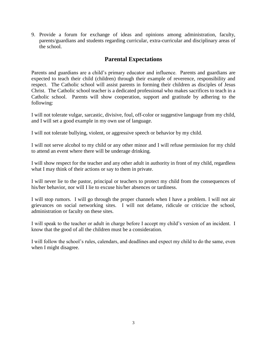9. Provide a forum for exchange of ideas and opinions among administration, faculty, parents/guardians and students regarding curricular, extra-curricular and disciplinary areas of the school.

### **Parental Expectations**

Parents and guardians are a child's primary educator and influence. Parents and guardians are expected to teach their child (children) through their example of reverence, responsibility and respect. The Catholic school will assist parents in forming their children as disciples of Jesus Christ. The Catholic school teacher is a dedicated professional who makes sacrifices to teach in a Catholic school. Parents will show cooperation, support and gratitude by adhering to the following:

I will not tolerate vulgar, sarcastic, divisive, foul, off-color or suggestive language from my child, and I will set a good example in my own use of language.

I will not tolerate bullying, violent, or aggressive speech or behavior by my child.

I will not serve alcohol to my child or any other minor and I will refuse permission for my child to attend an event where there will be underage drinking.

I will show respect for the teacher and any other adult in authority in front of my child, regardless what I may think of their actions or say to them in private.

I will never lie to the pastor, principal or teachers to protect my child from the consequences of his/her behavior, nor will I lie to excuse his/her absences or tardiness.

I will stop rumors. I will go through the proper channels when I have a problem. I will not air grievances on social networking sites. I will not defame, ridicule or criticize the school, administration or faculty on these sites.

I will speak to the teacher or adult in charge before I accept my child's version of an incident. I know that the good of all the children must be a consideration.

I will follow the school's rules, calendars, and deadlines and expect my child to do the same, even when I might disagree.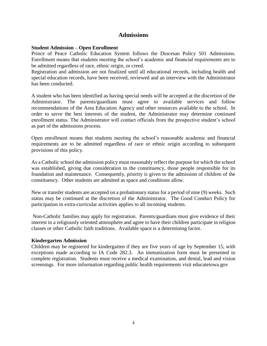### **Admissions**

#### **Student Admission – Open Enrollment**

Prince of Peace Catholic Education System follows the Diocesan Policy 501 Admissions. Enrollment means that students meeting the school's academic and financial requirements are to be admitted regardless of race, ethnic origin, or creed.

Registration and admission are not finalized until all educational records, including health and special education records, have been received, reviewed and an interview with the Administrator has been conducted.

A student who has been identified as having special needs will be accepted at the discretion of the Administrator. The parents/guardians must agree to available services and follow recommendations of the Area Education Agency and other resources available to the school. In order to serve the best interests of the student, the Administrator may determine continued enrollment status. The Administrator will contact officials from the prospective student's school as part of the admissions process.

Open enrollment means that students meeting the school's reasonable academic and financial requirements are to be admitted regardless of race or ethnic origin according to subsequent provisions of this policy.

As a Catholic school the admission policy must reasonably reflect the purpose for which the school was established, giving due consideration to the constituency, those people responsible for its foundation and maintenance. Consequently, priority is given to the admission of children of the constituency. Other students are admitted as space and conditions allow.

New or transfer students are accepted on a probationary status for a period of nine (9) weeks. Such status may be continued at the discretion of the Administrator. The Good Conduct Policy for participation in extra-curricular activities applies to all incoming students.

Non-Catholic families may apply for registration. Parents/guardians must give evidence of their interest in a religiously oriented atmosphere and agree to have their children participate in religion classes or other Catholic faith traditions. Available space is a determining factor.

#### **Kindergarten Admission**

Children may be registered for kindergarten if they are five years of age by September 15, with exceptions made according to IA Code 282.3. An immunization form must be presented to complete registration. Students must receive a medical examination, and dental, lead and vision screenings. For more information regarding public health requirements visit educateiowa.gov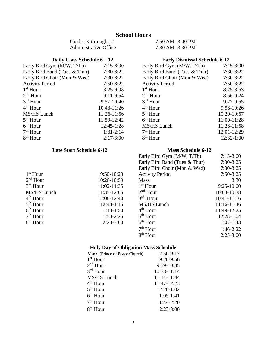### **School Hours**

Grades K through 12 7:50 AM.-3:00 PM Administrative Office 7:30 AM.-3:30 PM

| Early Bird Gym (M/W, T/Th)    | $7:15 - 8:00$ | F              |
|-------------------------------|---------------|----------------|
| Early Bird Band (Tues & Thur) | 7:30-8:22     | E              |
| Early Bird Choir (Mon & Wed)  | $7:30-8:22$   | E              |
| <b>Activity Period</b>        | $7:50-8:22$   | A              |
| $1st$ Hour                    | $8:25-9:08$   | $\mathbf{1}$   |
| $2nd$ Hour                    | $9:11-9:54$   | $\overline{2}$ |
| $3rd$ Hour                    | 9:57-10:40    | 3              |
| 4 <sup>th</sup> Hour          | 10:43-11:26   | 4              |
| MS/HS Lunch                   | 11:26-11:56   | 5              |
| $5th$ Hour                    | 11:59-12:42   | 6              |
| $6th$ Hour                    | 12:45-1:28    | N              |
| $7th$ Hour                    | $1:31-2:14$   | 7              |
| 8 <sup>th</sup> Hour          | $2:17-3:00$   | 8              |

#### **Late Start Schedule 6-12 Mass Schedule 6-12**

#### **Daily Class Schedule 6 – 12 Early Dismissal Schedule 6-12**

| Early Bird Gym (M/W, T/Th)    | $7:15-8:00$  | Early Bird Gym (M/W, T/Th)    | $7:15-8:00$   |
|-------------------------------|--------------|-------------------------------|---------------|
| Early Bird Band (Tues & Thur) | $7:30-8:22$  | Early Bird Band (Tues & Thur) | $7:30-8:22$   |
| Early Bird Choir (Mon & Wed)  | $7:30-8:22$  | Early Bird Choir (Mon & Wed)  | $7:30-8:22$   |
| <b>Activity Period</b>        | $7:50-8:22$  | <b>Activity Period</b>        | $7:50-8:22$   |
| $1st$ Hour                    | $8:25-9:08$  | $1st$ Hour                    | $8:25 - 8:53$ |
| $2nd$ Hour                    | $9:11-9:54$  | $2nd$ Hour                    | $8:56-9:24$   |
| $3rd$ Hour                    | $9:57-10:40$ | $3rd$ Hour                    | $9:27-9:55$   |
| 4 <sup>th</sup> Hour          | 10:43-11:26  | $4th$ Hour                    | $9:58-10:26$  |
| MS/HS Lunch                   | 11:26-11:56  | $5th$ Hour                    | 10:29-10:57   |
| $5^{\text{th}}$ Hour          | 11:59-12:42  | $6th$ Hour                    | 11:00-11:28   |
| $6th$ Hour                    | $12:45-1:28$ | MS/HS Lunch                   | 11:28-11:58   |
| $7th$ Hour                    | $1:31-2:14$  | $7th$ Hour                    | 12:01-12:29   |
| $8th$ Hour                    | $2:17-3:00$  | $8th$ Hour                    | $12:32-1:00$  |

|             |              | Early Bird Gym (M/W, T/Th)    | $7:15 - 8:00$ |
|-------------|--------------|-------------------------------|---------------|
|             |              | Early Bird Band (Tues & Thur) | $7:30-8:25$   |
|             |              | Early Bird Choir (Mon & Wed)  | $7:30-8:25$   |
| $1st$ Hour  | $9:50-10:23$ | <b>Activity Period</b>        | $7:50-8:25$   |
| $2nd$ Hour  | 10:26-10:59  | <b>Mass</b>                   | 8:30          |
| $3rd$ Hour  | 11:02-11:35  | $1st$ Hour                    | $9:25-10:00$  |
| MS/HS Lunch | 11:35-12:05  | $2nd$ Hour                    | 10:03-10:38   |
| $4th$ Hour  | 12:08-12:40  | $3rd$ Hour                    | $10:41-11:16$ |
| $5th$ Hour  | $12:43-1:15$ | MS/HS Lunch                   | 11:16-11:46   |
| $6th$ Hour  | $1:18-1:50$  | $4th$ Hour                    | 11:49-12:25   |
| $7th$ Hour  | $1:53-2:25$  | $5th$ Hour                    | $12:28-1:04$  |
| $8th$ Hour  | $2:28-3:00$  | $6th$ Hour                    | $1:07-1:43$   |
|             |              | $7th$ Hour                    | $1:46-2:22$   |
|             |              | $8th$ Hour                    | $2:25-3:00$   |

#### **Holy Day of Obligation Mass Schedule**

| Mass (Prince of Peace Church) | $7:50-9:17$ |
|-------------------------------|-------------|
| $1st$ Hour                    | 9:20-9:56   |
| $2nd$ Hour                    | 9:59-10:35  |
| $3rd$ Hour                    | 10:38-11:14 |
| MS/HS Lunch                   | 11:14-11:44 |
| 4 <sup>th</sup> Hour          | 11:47-12:23 |
| $5th$ Hour                    | 12:26-1:02  |
| $6th$ Hour                    | $1:05-1:41$ |
| $7th$ Hour                    | $1:44-2:20$ |
| 8 <sup>th</sup> Hour          | $2:23-3:00$ |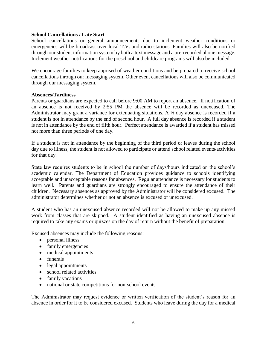#### **School Cancellations / Late Start**

School cancellations or general announcements due to inclement weather conditions or emergencies will be broadcast over local T.V. and radio stations. Families will also be notified through our student information system by both a text message and a pre-recorded phone message. Inclement weather notifications for the preschool and childcare programs will also be included.

We encourage families to keep apprised of weather conditions and be prepared to receive school cancellations through our messaging system. Other event cancellations will also be communicated through our messaging system.

#### **Absences/Tardiness**

Parents or guardians are expected to call before 9:00 AM to report an absence. If notification of an absence is not received by 2:55 PM the absence will be recorded as unexcused. The Administrator may grant a variance for extenuating situations. A  $\frac{1}{2}$  day absence is recorded if a student is not in attendance by the end of second hour. A full day absence is recorded if a student is not in attendance by the end of fifth hour. Perfect attendance is awarded if a student has missed not more than three periods of one day.

If a student is not in attendance by the beginning of the third period or leaves during the school day due to illness, the student is not allowed to participate or attend school related events/activities for that day.

State law requires students to be in school the number of days/hours indicated on the school's academic calendar. The Department of Education provides guidance to schools identifying acceptable and unacceptable reasons for absences. Regular attendance is necessary for students to learn well. Parents and guardians are strongly encouraged to ensure the attendance of their children. Necessary absences as approved by the Administrator will be considered excused. The administrator determines whether or not an absence is excused or unexcused.

A student who has an unexcused absence recorded will not be allowed to make up any missed work from classes that are skipped. A student identified as having an unexcused absence is required to take any exams or quizzes on the day of return without the benefit of preparation.

Excused absences may include the following reasons:

- personal illness
- family emergencies
- medical appointments
- funerals
- legal appointments
- school related activities
- family vacations
- national or state competitions for non-school events

The Administrator may request evidence or written verification of the student's reason for an absence in order for it to be considered excused. Students who leave during the day for a medical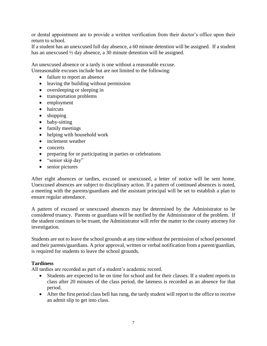or dental appointment are to provide a written verification from their doctor's office upon their return to school.

If a student has an unexcused full day absence, a 60 minute detention will be assigned. If a student has an unexcused ½ day absence, a 30 minute detention will be assigned.

An unexcused absence or a tardy is one without a reasonable excuse. Unreasonable excuses include but are not limited to the following:

- failure to report an absence
- leaving the building without permission
- oversleeping or sleeping in
- transportation problems
- employment
- haircuts
- shopping
- baby-sitting
- family meetings
- helping with household work
- inclement weather
- concerts
- preparing for or participating in parties or celebrations
- "senior skip day"
- senior pictures

After eight absences or tardies, excused or unexcused, a letter of notice will be sent home. Unexcused absences are subject to disciplinary action. If a pattern of continued absences is noted, a meeting with the parents/guardians and the assistant principal will be set to establish a plan to ensure regular attendance.

A pattern of excused or unexcused absences may be determined by the Administrator to be considered truancy. Parents or guardians will be notified by the Administrator of the problem. If the student continues to be truant, the Administrator will refer the matter to the county attorney for investigation.

Students are not to leave the school grounds at any time without the permission of school personnel and their parents/guardians. A prior approval, written or verbal notification from a parent/guardian, is required for students to leave the school grounds.

#### **Tardiness**

All tardies are recorded as part of a student's academic record.

- Students are expected to be on time for school and for their classes. If a student reports to class after 20 minutes of the class period, the lateness is recorded as an absence for that period.
- After the first period class bell has rung, the tardy student will report to the office to receive an admit slip to get into class.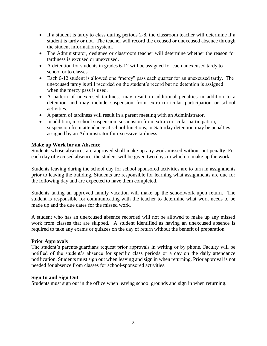- If a student is tardy to class during periods 2-8, the classroom teacher will determine if a student is tardy or not. The teacher will record the excused or unexcused absence through the student information system.
- The Administrator, designee or classroom teacher will determine whether the reason for tardiness is excused or unexcused.
- A detention for students in grades 6-12 will be assigned for each unexcused tardy to school or to classes.
- Each 6-12 student is allowed one "mercy" pass each quarter for an unexcused tardy. The unexcused tardy is still recorded on the student's record but no detention is assigned when the mercy pass is used.
- A pattern of unexcused tardiness may result in additional penalties in addition to a detention and may include suspension from extra-curricular participation or school activities.
- A pattern of tardiness will result in a parent meeting with an Administrator.
- In addition, in-school suspension, suspension from extra-curricular participation, suspension from attendance at school functions, or Saturday detention may be penalties assigned by an Administrator for excessive tardiness.

#### **Make up Work for an Absence**

Students whose absences are approved shall make up any work missed without out penalty. For each day of excused absence, the student will be given two days in which to make up the work.

Students leaving during the school day for school sponsored activities are to turn in assignments prior to leaving the building. Students are responsible for learning what assignments are due for the following day and are expected to have them completed.

Students taking an approved family vacation will make up the schoolwork upon return. The student is responsible for communicating with the teacher to determine what work needs to be made up and the due dates for the missed work.

A student who has an unexcused absence recorded will not be allowed to make up any missed work from classes that are skipped. A student identified as having an unexcused absence is required to take any exams or quizzes on the day of return without the benefit of preparation.

#### **Prior Approvals**

The student's parents/guardians request prior approvals in writing or by phone. Faculty will be notified of the student's absence for specific class periods or a day on the daily attendance notification. Students must sign out when leaving and sign in when returning. Prior approval is not needed for absence from classes for school-sponsored activities.

#### **Sign In and Sign Out**

Students must sign out in the office when leaving school grounds and sign in when returning.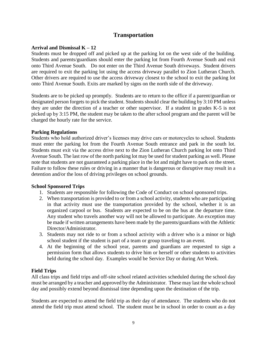### **Transportation**

#### **Arrival and Dismissal K – 12**

Students must be dropped off and picked up at the parking lot on the west side of the building. Students and parents/guardians should enter the parking lot from Fourth Avenue South and exit onto Third Avenue South. Do not enter on the Third Avenue South driveways. Student drivers are required to exit the parking lot using the access driveway parallel to Zion Lutheran Church. Other drivers are required to use the access driveway closest to the school to exit the parking lot onto Third Avenue South. Exits are marked by signs on the north side of the driveway.

Students are to be picked up promptly. Students are to return to the office if a parent/guardian or designated person forgets to pick the student. Students should clear the building by 3:10 PM unless they are under the direction of a teacher or other supervisor. If a student in grades K-5 is not picked up by 3:15 PM, the student may be taken to the after school program and the parent will be charged the hourly rate for the service.

#### **Parking Regulations**

Students who hold authorized driver's licenses may drive cars or motorcycles to school. Students must enter the parking lot from the Fourth Avenue South entrance and park in the south lot. Students must exit via the access drive next to the Zion Lutheran Church parking lot onto Third Avenue South. The last row of the north parking lot may be used for student parking as well. Please note that students are not guaranteed a parking place in the lot and might have to park on the street. Failure to follow these rules or driving in a manner that is dangerous or disruptive may result in a detention and/or the loss of driving privileges on school grounds.

#### **School Sponsored Trips**

- 1. Students are responsible for following the Code of Conduct on school sponsored trips.
- 2. When transportation is provided to or from a school activity, students who are participating in that activity must use the transportation provided by the school, whether it is an organized carpool or bus. Students are expected to be on the bus at the departure time. Any student who travels another way will not be allowed to participate. An exception may be made if written arrangements have been made by the parents/guardians with the Athletic Director/Administrator.
- 3. Students may not ride to or from a school activity with a driver who is a minor or high school student if the student is part of a team or group traveling to an event.
- 4. At the beginning of the school year, parents and guardians are requested to sign a permission form that allows students to drive him or herself or other students to activities held during the school day. Examples would be Service Day or during Art Week.

#### **Field Trips**

All class trips and field trips and off-site school related activities scheduled during the school day must be arranged by a teacher and approved by the Administrator. These may last the whole school day and possibly extend beyond dismissal time depending upon the destination of the trip.

Students are expected to attend the field trip as their day of attendance. The students who do not attend the field trip must attend school. The student must be in school in order to count as a day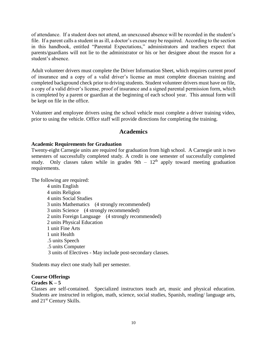of attendance. If a student does not attend, an unexcused absence will be recorded in the student's file. If a parent calls a student in as ill, a doctor's excuse may be required. According to the section in this handbook, entitled "Parental Expectations," administrators and teachers expect that parents/guardians will not lie to the administrator or his or her designee about the reason for a student's absence.

Adult volunteer drivers must complete the Driver Information Sheet, which requires current proof of insurance and a copy of a valid driver's license an must complete diocesan training and completed background check prior to driving students. Student volunteer drivers must have on file, a copy of a valid driver's license, proof of insurance and a signed parental permission form, which is completed by a parent or guardian at the beginning of each school year. This annual form will be kept on file in the office.

Volunteer and employee drivers using the school vehicle must complete a driver training video, prior to using the vehicle. Office staff will provide directions for completing the training.

### **Academics**

#### **Academic Requirements for Graduation**

Twenty-eight Carnegie units are required for graduation from high school. A Carnegie unit is two semesters of successfully completed study. A credit is one semester of successfully completed study. Only classes taken while in grades  $9th - 12<sup>th</sup>$  apply toward meeting graduation requirements.

The following are required:

 4 units English 4 units Religion 4 units Social Studies 3 units Mathematics (4 strongly recommended) 3 units Science (4 strongly recommended) 2 units Foreign Language (4 strongly recommended) 2 units Physical Education 1 unit Fine Arts 1 unit Health .5 units Speech .5 units Computer 3 units of Electives - May include post-secondary classes.

Students may elect one study hall per semester.

#### **Course Offerings Grades K – 5**

Classes are self-contained. Specialized instructors teach art, music and physical education. Students are instructed in religion, math, science, social studies, Spanish, reading/ language arts, and 21st Century Skills.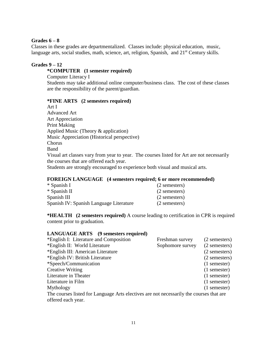#### **Grades 6 – 8**

Classes in these grades are departmentalized. Classes include: physical education, music, language arts, social studies, math, science, art, religion, Spanish, and 21<sup>st</sup> Century skills.

#### **Grades 9 – 12**

#### **\*COMPUTER (1 semester required)**

Computer Literacy I

Students may take additional online computer/business class. The cost of these classes are the responsibility of the parent/guardian.

#### **\*FINE ARTS (2 semesters required)**

Art I Advanced Art Art Appreciation Print Making Applied Music (Theory & application) Music Appreciation (Historical perspective) Chorus Band Visual art classes vary from year to year. The courses listed for Art are not necessarily the courses that are offered each year.

Students are strongly encouraged to experience both visual and musical arts.

#### **FOREIGN LANGUAGE (4 semesters required; 6 or more recommended)**

| * Spanish I                             | (2 semesters) |
|-----------------------------------------|---------------|
| * Spanish II                            | (2 semesters) |
| Spanish III                             | (2 semesters) |
| Spanish IV: Spanish Language Literature | (2 semesters) |

**\*HEALTH (2 semesters required)** A course leading to certification in CPR is required content prior to graduation.

#### **LANGUAGE ARTS (9 semesters required)**

| *English I: Literature and Composition                                                  | Freshman survey  | (2 semesters)  |
|-----------------------------------------------------------------------------------------|------------------|----------------|
| *English II: World Literature                                                           | Sophomore survey | (2 semesters)  |
| *English III: American Literature                                                       |                  | (2 semesters)  |
| *English IV: British Literature                                                         |                  | (2 semesters)  |
| *Speech/Communication                                                                   |                  | $(1$ semester) |
| <b>Creative Writing</b>                                                                 |                  | $(1$ semester) |
| Literature in Theater                                                                   |                  | $(1$ semester) |
| Literature in Film                                                                      |                  | $(1$ semester) |
| Mythology                                                                               |                  | $(1$ semester) |
| The courses listed for Language Arts electives are not necessarily the courses that are |                  |                |
| offered each year.                                                                      |                  |                |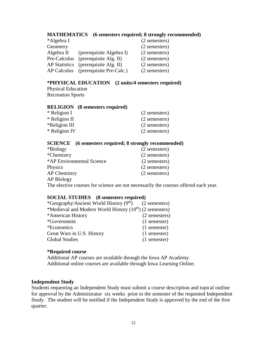#### **MATHEMATICS (6 semesters required; 8 strongly recommended)**

| *Algebra I           |                          | (2 semesters) |
|----------------------|--------------------------|---------------|
| Geometry             |                          | (2 semesters) |
| Algebra II           | (prerequisite Algebra I) | (2 semesters) |
| Pre-Calculus         | (prerequisite Alg. II)   | (2 semesters) |
| <b>AP Statistics</b> | (prerequisite Alg. II)   | (2 semesters) |
| AP Calculus          | (prerequisite Pre-Calc.) | (2 semesters) |

#### **\*PHYSICAL EDUCATION (2 units/4 semesters required)**  Physical Education

Recreation Sports

#### **RELIGION (8 semesters required)**

| * Religion I  | (2 semesters) |
|---------------|---------------|
| * Religion II | (2 semesters) |
| *Religion III | (2 semesters) |
| * Religion IV | (2 semesters) |

#### **SCIENCE (6 semesters required; 8 strongly recommended)**

| *Biology                  | (2 semesters) |
|---------------------------|---------------|
| *Chemistry                | (2 semesters) |
| *AP Environmental Science | (2 semesters) |
| Physics                   | (2 semesters) |
| <b>AP Chemistry</b>       | (2 semesters) |
| <b>AP Biology</b>         |               |

The elective courses for science are not necessarily the courses offered each year.

#### **SOCIAL STUDIES (8 semesters required)**

| *Geography/Ancient World History $(9th)$ (2 semesters)       |                |
|--------------------------------------------------------------|----------------|
| *Medieval and Modern World History $(10^{th})$ (2 semesters) |                |
| *American History                                            | (2 semesters)  |
| *Government                                                  | $(1$ semester) |
| *Economics                                                   | $(1$ semester) |
| Great Wars in U.S. History                                   | (1 semester)   |
| <b>Global Studies</b>                                        | $(1$ semester) |

#### **\*Required course**

Additional AP courses are available through the Iowa AP Academy. Additional online courses are available through Iowa Learning Online.

#### **Independent Study**

Students requesting an Independent Study must submit a course description and topical outline for approval by the Administrator six weeks prior to the semester of the requested Independent Study. The student will be notified if the Independent Study is approved by the end of the first quarter.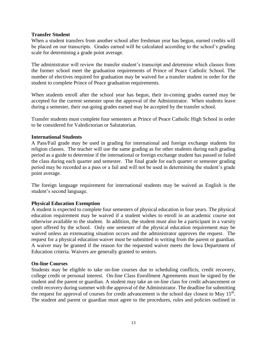#### **Transfer Student**

When a student transfers from another school after freshman year has begun, earned credits will be placed on our transcripts. Grades earned will be calculated according to the school's grading scale for determining a grade point average.

The administrator will review the transfer student's transcript and determine which classes from the former school meet the graduation requirements of Prince of Peace Catholic School. The number of electives required for graduation may be waived for a transfer student in order for the student to complete Prince of Peace graduation requirements.

When students enroll after the school year has begun, their in-coming grades earned may be accepted for the current semester upon the approval of the Administrator. When students leave during a semester, their out-going grades earned may be accepted by the transfer school.

Transfer students must complete four semesters at Prince of Peace Catholic High School in order to be considered for Valedictorian or Salutatorian.

#### **International Students**

A Pass/Fail grade may be used in grading for international and foreign exchange students for religion classes. The teacher will use the same grading as for other students during each grading period as a guide to determine if the international or foreign exchange student has passed or failed the class during each quarter and semester. The final grade for each quarter or semester grading period may be recorded as a pass or a fail and will not be used in determining the student's grade point average.

The foreign language requirement for international students may be waived as English is the student's second language.

#### **Physical Education Exemption**

A student is expected to complete four semesters of physical education in four years. The physical education requirement may be waived if a student wishes to enroll in an academic course not otherwise available to the student. In addition, the student must also be a participant in a varsity sport offered by the school. Only one semester of the physical education requirement may be waived unless an extenuating situation occurs and the administrator approves the request. The request for a physical education waiver must be submitted in writing from the parent or guardian. A waiver may be granted if the reason for the requested waiver meets the Iowa Department of Education criteria. Waivers are generally granted to seniors.

#### **On-line Courses**

Students may be eligible to take on-line courses due to scheduling conflicts, credit recovery, college credit or personal interest. On-line Class Enrollment Agreements must be signed by the student and the parent or guardian. A student may take an on-line class for credit advancement or credit recovery during summer with the approval of the Administrator. The deadline for submitting the request for approval of courses for credit advancement is the school day closest to May 15<sup>th</sup>. The student and parent or guardian must agree to the procedures, rules and policies outlined in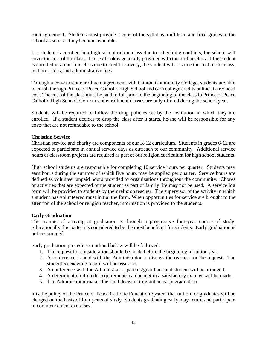each agreement. Students must provide a copy of the syllabus, mid-term and final grades to the school as soon as they become available.

If a student is enrolled in a high school online class due to scheduling conflicts, the school will cover the cost of the class. The textbook is generally provided with the on-line class. If the student is enrolled in an on-line class due to credit recovery, the student will assume the cost of the class, text book fees, and administrative fees.

Through a con-current enrollment agreement with Clinton Community College, students are able to enroll through Prince of Peace Catholic High School and earn college credits online at a reduced cost. The cost of the class must be paid in full prior to the beginning of the class to Prince of Peace Catholic High School. Con-current enrollment classes are only offered during the school year.

Students will be required to follow the drop policies set by the institution in which they are enrolled. If a student decides to drop the class after it starts, he/she will be responsible for any costs that are not refundable to the school.

#### **Christian Service**

Christian service and charity are components of our K-12 curriculum. Students in grades 6-12 are expected to participate in annual service days as outreach to our community. Additional service hours or classroom projects are required as part of our religion curriculum for high school students.

High school students are responsible for completing 10 service hours per quarter. Students may earn hours during the summer of which five hours may be applied per quarter. Service hours are defined as volunteer unpaid hours provided to organizations throughout the community. Chores or activities that are expected of the student as part of family life may not be used. A service log form will be provided to students by their religion teacher. The supervisor of the activity in which a student has volunteered must initial the form. When opportunities for service are brought to the attention of the school or religion teacher, information is provided to the students.

#### **Early Graduation**

The manner of arriving at graduation is through a progressive four-year course of study. Educationally this pattern is considered to be the most beneficial for students. Early graduation is not encouraged.

Early graduation procedures outlined below will be followed:

- 1. The request for consideration should be made before the beginning of junior year.
- 2. A conference is held with the Administrator to discuss the reasons for the request. The student's academic record will be assessed.
- 3. A conference with the Administrator, parents/guardians and student will be arranged.
- 4. A determination if credit requirements can be met in a satisfactory manner will be made.
- 5. The Administrator makes the final decision to grant an early graduation.

It is the policy of the Prince of Peace Catholic Education System that tuition for graduates will be charged on the basis of four years of study. Students graduating early may return and participate in commencement exercises.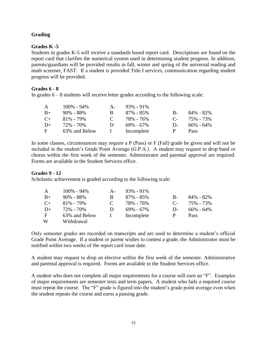#### **Grading**

#### **Grades K -5**

Students in grades K-5 will receive a standards based report card. Descriptions are found on the report card that clarifies the numerical system used in determining student progress. In addition, parents/guardians will be provided results in fall, winter and spring of the universal reading and math screener, FAST. If a student is provided Title I services, communication regarding student progress will be provided.

#### **Grades 6 - 8**

In grades  $6 - 8$  students will receive letter grades according to the following scale:

|           | $100\% - 94\%$ | $A -$         | $93\% - 91\%$ |           |             |
|-----------|----------------|---------------|---------------|-----------|-------------|
| $B+$      | $90\% - 88\%$  | B.            | 87% - 85%     | $B-$      | 84% - 82%   |
| $C_{\pm}$ | $81\% - 79\%$  | $\mathcal{C}$ | 78% - 76%     | $C_{\pm}$ | 75% - 73%   |
| $D+$      | 72% - 70%      | D             | $69\% - 67\%$ | $D-$      | 66% - 64%   |
| F         | 63% and Below  | $\mathbf{L}$  | Incomplete    | P         | <b>Pass</b> |

In some classes, circumstances may require a P (Pass) or F (Fail) grade be given and will not be included in the student's Grade Point Average (G.P.A.). A student may request to drop band or chorus within the first week of the semester. Administrator and parental approval are required. Forms are available in the Student Services office.

#### **Grades 9 - 12**

Scholastic achievement is graded according to the following scale:

| $\mathbf{A}$ | $100\% - 94\%$ | $A -$ | $93\% - 91\%$ |         |               |
|--------------|----------------|-------|---------------|---------|---------------|
| $B+$         | $90\% - 88\%$  | B     | $87\% - 85\%$ | $B -$   | 84% - 82%     |
| $C_{\pm}$    | $81\% - 79\%$  |       | 78% - 76%     | $C_{-}$ | 75% - 73%     |
| $D+$         | 72% - 70%      | Ð     | $69\% - 67\%$ | $D-$    | $66\% - 64\%$ |
| F            | 63% and Below  |       | Incomplete    | P       | <b>Pass</b>   |
| W            | Withdrawal     |       |               |         |               |

Only semester grades are recorded on transcripts and are used to determine a student's official Grade Point Average. If a student or parent wishes to contest a grade, the Administrator must be notified within two weeks of the report card issue date.

A student may request to drop an elective within the first week of the semester. Administrative and parental approval is required. Forms are available in the Student Services office.

A student who does not complete all major requirements for a course will earn an "F". Examples of major requirements are semester tests and term papers. A student who fails a required course must repeat the course. The "F" grade is figured into the student's grade point average even when the student repeats the course and earns a passing grade.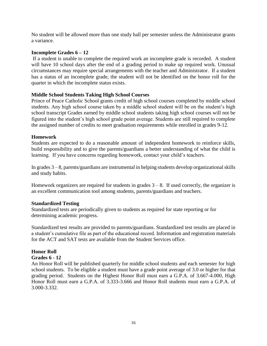No student will be allowed more than one study hall per semester unless the Administrator grants a variance.

#### **Incomplete Grades 6 – 12**

If a student is unable to complete the required work an incomplete grade is recorded. A student will have 10 school days after the end of a grading period to make up required work. Unusual circumstances may require special arrangements with the teacher and Administrator. If a student has a status of an incomplete grade, the student will not be identified on the honor roll for the quarter in which the incomplete status exists.

#### **Middle School Students Taking High School Courses**

Prince of Peace Catholic School grants credit of high school courses completed by middle school students. Any high school course taken by a middle school student will be on the student's high school transcript Grades earned by middle school students taking high school courses will not be figured into the student's high school grade point average. Students are still required to complete the assigned number of credits to meet graduation requirements while enrolled in grades 9-12.

#### **Homework**

Students are expected to do a reasonable amount of independent homework to reinforce skills, build responsibility and to give the parents/guardians a better understanding of what the child is learning. If you have concerns regarding homework, contact your child's teachers.

In grades 3 – 8, parents/guardians are instrumental in helping students develop organizational skills and study habits.

Homework organizers are required for students in grades  $3 - 8$ . If used correctly, the organizer is an excellent communication tool among students, parents/guardians and teachers.

#### **Standardized Testing**

Standardized tests are periodically given to students as required for state reporting or for determining academic progress.

Standardized test results are provided to parents/guardians. Standardized test results are placed in a student's cumulative file as part of the educational record. Information and registration materials for the ACT and SAT tests are available from the Student Services office.

#### **Honor Roll**

#### **Grades 6 - 12**

An Honor Roll will be published quarterly for middle school students and each semester for high school students. To be eligible a student must have a grade point average of 3.0 or higher for that grading period. Students on the Highest Honor Roll must earn a G.P.A. of 3.667-4.000, High Honor Roll must earn a G.P.A. of 3.333-3.666 and Honor Roll students must earn a G.P.A. of 3.000-3.332.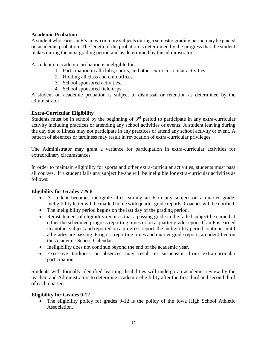#### **Academic Probation**

A student who earns an F's in two or more subjects during a semester grading period may be placed on academic probation. The length of the probation is determined by the progress that the student makes during the next grading period and as determined by the administrator.

A student on academic probation is ineligible for:

- 1. Participation in all clubs, sports, and other extra-curricular activities
- 2. Holding all class and club offices.
- 3. School sponsored activities.
- 4. School sponsored field trips.

A student on academic probation is subject to dismissal or retention as determined by the administrator.

#### **Extra-Curricular Eligibility**

Students must be in school by the beginning of 3<sup>rd</sup> period to participate in any extra-curricular activity including practices or attending any school activities or events. A student leaving during the day due to illness may not participate in any practices or attend any school activity or event. A pattern of absences or tardiness may result in revocation of extra-curricular privileges.

The Administrator may grant a variance for participation in extra-curricular activities for extraordinary circumstances

In order to maintain eligibility for sports and other extra-curricular activities, students must pass all courses. If a student fails any subject he/she will be ineligible for extra-curricular activities as follows:

#### **Eligibility for Grades 7 & 8**

- A student becomes ineligible after earning an F in any subject on a quarter grade. Ineligibility letter will be mailed home with quarter grade reports. Coaches will be notified.
- The ineligibility period begins on the last day of the grading period.
- Reinstatement of eligibility requires that a passing grade in the failed subject be earned at either the scheduled progress reporting times or on a quarter grade report. If an F is earned in another subject and reported on a progress report, the ineligibility period continues until all grades are passing. Progress reporting times and quarter grade reports are identified on the Academic School Calendar.
- Ineligibility does not continue beyond the end of the academic year.
- Excessive tardiness or absences may result in suspension from extra-curricular participation.

Students with formally identified learning disabilities will undergo an academic review by the teacher and Administrators to determine academic eligibility after the first third and second third of each quarter.

#### **Eligibility for Grades 9-12**

• The eligibility policy for grades 9-12 is the policy of the Iowa High School Athletic Association.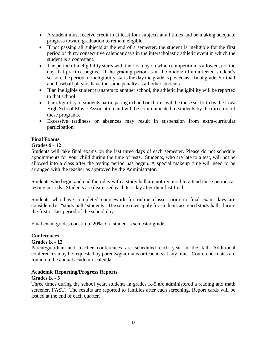- A student must receive credit in at least four subjects at all times and be making adequate progress toward graduation to remain eligible.
- If not passing all subjects at the end of a semester, the student is ineligible for the first period of thirty consecutive calendar days in the interscholastic athletic event in which the student is a contestant.
- The period of ineligibility starts with the first day on which competition is allowed, not the day that practice begins. If the grading period is in the middle of an affected student's season, the period of ineligibility starts the day the grade is posted as a final grade. Softball and baseball players have the same penalty as all other students.
- If an ineligible student transfers to another school, the athletic ineligibility will be reported to that school.
- The eligibility of students participating in band or chorus will be those set forth by the Iowa High School Music Association and will be communicated to students by the directors of these programs.
- Excessive tardiness or absences may result in suspension from extra-curricular participation.

### **Final Exams**

#### **Grades 9 - 12**

Students will take final exams on the last three days of each semester. Please do not schedule appointments for your child during the time of tests. Students, who are late to a test, will not be allowed into a class after the testing period has begun. A special makeup time will need to be arranged with the teacher as approved by the Administrator.

Students who begin and end their day with a study hall are not required to attend these periods as testing periods. Students are dismissed each test day after their last final.

Students who have completed coursework for online classes prior to final exam days are considered as "study hall" students. The same rules apply for students assigned study halls during the first or last period of the school day.

Final exam grades constitute 20% of a student's semester grade.

#### **Conferences**

#### **Grades K - 12**

Parent/guardian and teacher conferences are scheduled each year in the fall. Additional conferences may be requested by parents/guardians or teachers at any time. Conference dates are found on the annual academic calendar.

#### **Academic Reporting/Progress Reports**

#### **Grades K - 5**

Three times during the school year, students in grades K-5 are administered a reading and math screener, FAST. The results are reported to families after each screening. Report cards will be issued at the end of each quarter.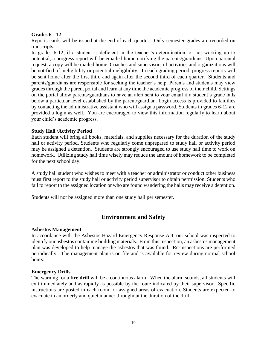#### **Grades 6 - 12**

Reports cards will be issued at the end of each quarter. Only semester grades are recorded on transcripts.

In grades 6-12, if a student is deficient in the teacher's determination, or not working up to potential, a progress report will be emailed home notifying the parents/guardians. Upon parental request, a copy will be mailed home. Coaches and supervisors of activities and organizations will be notified of ineligibility or potential ineligibility. In each grading period, progress reports will be sent home after the first third and again after the second third of each quarter. Students and parents/guardians are responsible for seeking the teacher's help. Parents and students may view grades through the parent portal and learn at any time the academic progress of their child. Settings on the portal allow parents/guardians to have an alert sent to your email if a student's grade falls below a particular level established by the parent/guardian. Login access is provided to families by contacting the administrative assistant who will assign a password. Students in grades 6-12 are provided a login as well. You are encouraged to view this information regularly to learn about your child's academic progress.

#### **Study Hall /Activity Period**

Each student will bring all books, materials, and supplies necessary for the duration of the study hall or activity period. Students who regularly come unprepared to study hall or activity period may be assigned a detention. Students are strongly encouraged to use study hall time to work on homework. Utilizing study hall time wisely may reduce the amount of homework to be completed for the next school day.

A study hall student who wishes to meet with a teacher or administrator or conduct other business must first report to the study hall or activity period supervisor to obtain permission. Students who fail to report to the assigned location or who are found wandering the halls may receive a detention.

Students will not be assigned more than one study hall per semester.

### **Environment and Safety**

#### **Asbestos Management**

In accordance with the Asbestos Hazard Emergency Response Act, our school was inspected to identify our asbestos containing building materials. From this inspection, an asbestos management plan was developed to help manage the asbestos that was found. Re-inspections are performed periodically. The management plan is on file and is available for review during normal school hours.

#### **Emergency Drills**

The warning for a **fire drill** will be a continuous alarm. When the alarm sounds, all students will exit immediately and as rapidly as possible by the route indicated by their supervisor. Specific instructions are posted in each room for assigned areas of evacuation. Students are expected to evacuate in an orderly and quiet manner throughout the duration of the drill.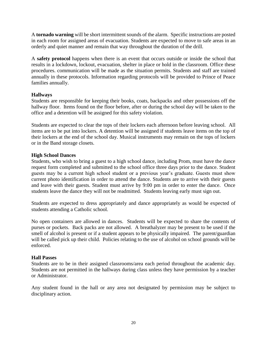A **tornado warning** will be short intermittent sounds of the alarm.Specific instructions are posted in each room for assigned areas of evacuation. Students are expected to move to safe areas in an orderly and quiet manner and remain that way throughout the duration of the drill.

A **safety protocol** happens when there is an event that occurs outside or inside the school that results in a lockdown, lockout, evacuation, shelter in place or hold in the classroom. Office these procedures. communication will be made as the situation permits. Students and staff are trained annually in these protocols. Information regarding protocols will be provided to Prince of Peace families annually.

#### **Hallways**

Students are responsible for keeping their books, coats, backpacks and other possessions off the hallway floor. Items found on the floor before, after or during the school day will be taken to the office and a detention will be assigned for this safety violation.

Students are expected to clear the tops of their lockers each afternoon before leaving school. All items are to be put into lockers. A detention will be assigned if students leave items on the top of their lockers at the end of the school day. Musical instruments may remain on the tops of lockers or in the Band storage closets.

#### **High School Dances**

Students, who wish to bring a guest to a high school dance, including Prom, must have the dance request form completed and submitted to the school office three days prior to the dance. Student guests may be a current high school student or a previous year's graduate. Guests must show current photo identification in order to attend the dance. Students are to arrive with their guests and leave with their guests. Student must arrive by 9:00 pm in order to enter the dance. Once students leave the dance they will not be readmitted. Students leaving early must sign out.

Students are expected to dress appropriately and dance appropriately as would be expected of students attending a Catholic school.

No open containers are allowed in dances. Students will be expected to share the contents of purses or pockets. Back packs are not allowed. A breathalyzer may be present to be used if the smell of alcohol is present or if a student appears to be physically impaired. The parent/guardian will be called pick up their child. Policies relating to the use of alcohol on school grounds will be enforced.

#### **Hall Passes**

Students are to be in their assigned classrooms/area each period throughout the academic day. Students are not permitted in the hallways during class unless they have permission by a teacher or Administrator.

Any student found in the hall or any area not designated by permission may be subject to disciplinary action.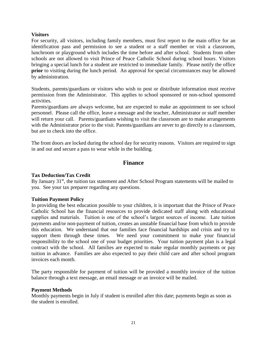#### **Visitors**

For security, all visitors, including family members, must first report to the main office for an identification pass and permission to see a student or a staff member or visit a classroom, lunchroom or playground which includes the time before and after school. Students from other schools are not allowed to visit Prince of Peace Catholic School during school hours. Visitors bringing a special lunch for a student are restricted to immediate family. Please notify the office **prior** to visiting during the lunch period. An approval for special circumstances may be allowed by administration.

Students, parents/guardians or visitors who wish to post or distribute information must receive permission from the Administrator. This applies to school sponsored or non-school sponsored activities.

Parents/guardians are always welcome, but are expected to make an appointment to see school personnel. Please call the office, leave a message and the teacher, Administrator or staff member will return your call. Parents/guardians wishing to visit the classroom are to make arrangements with the Administrator prior to the visit. Parents/guardians are never to go directly to a classroom, but are to check into the office.

The front doors are locked during the school day for security reasons. Visitors are required to sign in and out and secure a pass to wear while in the building.

### **Finance**

#### **Tax Deduction/Tax Credit**

By January  $31<sup>st</sup>$ , the tuition tax statement and After School Program statements will be mailed to you. See your tax preparer regarding any questions.

#### **Tuition Payment Policy**

In providing the best education possible to your children, it is important that the Prince of Peace Catholic School has the financial resources to provide dedicated staff along with educational supplies and materials. Tuition is one of the school's largest sources of income. Late tuition payments and/or non-payment of tuition, creates an unstable financial base from which to provide this education. We understand that our families face financial hardships and crisis and try to support them through these times. We need your commitment to make your financial responsibility to the school one of your budget priorities. Your tuition payment plan is a legal contract with the school. All families are expected to make regular monthly payments or pay tuition in advance. Families are also expected to pay their child care and after school program invoices each month.

The party responsible for payment of tuition will be provided a monthly invoice of the tuition balance through a text message, an email message or an invoice will be mailed.

#### **Payment Methods**

Monthly payments begin in July if student is enrolled after this date; payments begin as soon as the student is enrolled.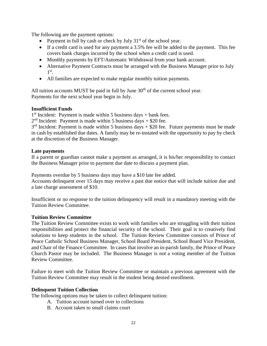The following are the payment options:

- Payment in full by cash or check by July  $31<sup>st</sup>$  of the school year.
- If a credit card is used for any payment a 3.5% fee will be added to the payment. This fee covers bank charges incurred by the school when a credit card is used.
- Monthly payments by EFT/Automatic Withdrawal from your bank account.
- Alternative Payment Contracts must be arranged with the Business Manager prior to July 1 st .
- All families are expected to make regular monthly tuition payments.

All tuition accounts MUST be paid in full by June  $30<sup>th</sup>$  of the current school year. Payments for the next school year begin in July.

#### **Insufficient Funds**

1<sup>st</sup> Incident: Payment is made within 5 business days + bank fees.

 $2<sup>nd</sup>$  Incident: Payment is made within 5 business days  $+$  \$20 fee.

 $3<sup>rd</sup>$  Incident: Payment is made within 5 business days  $+$  \$20 fee. Future payments must be made in cash by established due dates. A family may be re-instated with the opportunity to pay by check at the discretion of the Business Manager.

#### **Late payments**

If a parent or guardian cannot make a payment as arranged, it is his/her responsibility to contact the Business Manager prior to payment due date to discuss a payment plan.

Payments overdue by 5 business days may have a \$10 late fee added. Accounts delinquent over 15 days may receive a past due notice that will include tuition due and a late charge assessment of \$10.

Insufficient or no response to the tuition delinquency will result in a mandatory meeting with the Tuition Review Committee.

#### **Tuition Review Committee**

The Tuition Review Committee exists to work with families who are struggling with their tuition responsibilities and protect the financial security of the school. Their goal is to creatively find solutions to keep students in the school. The Tuition Review Committee consists of Prince of Peace Catholic School Business Manager, School Board President, School Board Vice President, and Chair of the Finance Committee. In cases that involve an in-parish family, the Prince of Peace Church Pastor may be included. The Business Manager is not a voting member of the Tuition Review Committee.

Failure to meet with the Tuition Review Committee or maintain a previous agreement with the Tuition Review Committee may result in the student being denied enrollment.

#### **Delinquent Tuition Collection**

The following options may be taken to collect delinquent tuition:

- A. Tuition account turned over to collections
- B. Account taken to small claims court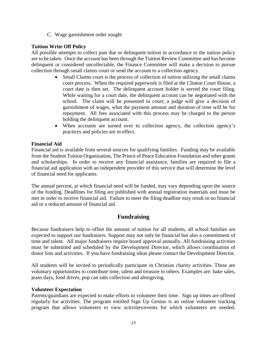C. Wage garnishment order sought

#### **Tuition Write Off Policy**

All possible attempts to collect past due or delinquent tuition in accordance to the tuition policy are to be taken. Once the account has been through the Tuition Review Committee and has become delinquent or considered uncollectable, the Finance Committee will make a decision to pursue collection through small claims court or send the account to a collection agency.

- Small Claims court is the process of collection of tuition utilizing the small claims court process. When the required paperwork is filed at the Clinton Court House, a court date is then set. The delinquent account holder is served the court filing. While waiting for a court date, the delinquent account can be negotiated with the school. The claim will be presented in court; a judge will give a decision of garnishment of wages, what the payment amount and duration of time will be for repayment. All fees associated with this process may be charged to the person holding the delinquent account.
- When accounts are turned over to collection agency, the collection agency's practices and policies are in effect.

#### **Financial Aid**

Financial aid is available from several sources for qualifying families. Funding may be available from the Student Tuition Organization, The Prince of Peace Education Foundation and other grants and scholarships. In order to receive any financial assistance, families are required to file a financial aid application with an independent provider of this service that will determine the level of financial need for applicants.

The annual percent, at which financial need will be funded, may vary depending upon the source of the funding. Deadlines for filing are published with annual registration materials and must be met in order to receive financial aid. Failure to meet the filing deadline may result in no financial aid or a reduced amount of financial aid.

### **Fundraising**

Because fundraisers help to offset the amount of tuition for all students, all school families are expected to support our fundraisers. Support may not only be financial but also a commitment of time and talent. All major fundraisers require board approval annually. All fundraising activities must be submitted and scheduled by the Development Director, which allows coordination of donor lists and activities. If you have fundraising ideas please contact the Development Director.

All students will be invited to periodically participate in Christian charity activities. These are voluntary opportunities to contribute time, talent and treasure to others. Examples are: bake sales, jeans days, food drives, pop can tabs collection and almsgiving.

#### **Volunteer Expectation**

Parents/guardians are expected to make efforts to volunteer their time. Sign up times are offered regularly for activities. The program entitled Sign Up Genius is an online volunteer tracking program that allows volunteers to view activities/events for which volunteers are needed.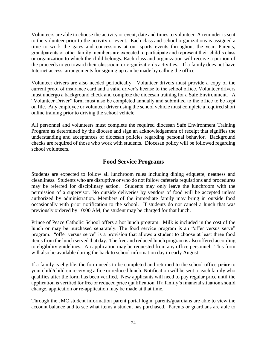Volunteers are able to choose the activity or event, date and times to volunteer. A reminder is sent to the volunteer prior to the activity or event. Each class and school organizations is assigned a time to work the gates and concessions at our sports events throughout the year. Parents, grandparents or other family members are expected to participate and represent their child's class or organization to which the child belongs. Each class and organization will receive a portion of the proceeds to go toward their classroom or organization's activities. If a family does not have Internet access, arrangements for signing up can be made by calling the office.

Volunteer drivers are also needed periodically. Volunteer drivers must provide a copy of the current proof of insurance card and a valid driver's license to the school office. Volunteer drivers must undergo a background check and complete the diocesan training for a Safe Environment. A "Volunteer Driver" form must also be completed annually and submitted to the office to be kept on file. Any employee or volunteer driver using the school vehicle must complete a required short online training prior to driving the school vehicle.

All personnel and volunteers must complete the required diocesan Safe Environment Training Program as determined by the diocese and sign an acknowledgement of receipt that signifies the understanding and acceptances of diocesan policies regarding personal behavior. Background checks are required of those who work with students. Diocesan policy will be followed regarding school volunteers.

### **Food Service Programs**

Students are expected to follow all lunchroom rules including dining etiquette, neatness and cleanliness. Students who are disruptive or who do not follow cafeteria regulations and procedures may be referred for disciplinary action. Students may only leave the lunchroom with the permission of a supervisor. No outside deliveries by vendors of food will be accepted unless authorized by administration. Members of the immediate family may bring in outside food occasionally with prior notification to the school. If students do not cancel a lunch that was previously ordered by 10:00 AM, the student may be charged for that lunch.

Prince of Peace Catholic School offers a hot lunch program. Milk is included in the cost of the lunch or may be purchased separately. The food service program is an "offer versus serve" program. "offer versus serve" is a provision that allows a student to choose at least three food items from the lunch served that day. The free and reduced lunch program is also offered according to eligibility guidelines. An application may be requested from any office personnel. This form will also be available during the back to school information day in early August.

If a family is eligible, the form needs to be completed and returned to the school office **prior** to your child/children receiving a free or reduced lunch. Notification will be sent to each family who qualifies after the form has been verified. New applicants will need to pay regular price until the application is verified for free or reduced price qualification. If a family's financial situation should change, application or re-application may be made at that time.

Through the JMC student information parent portal login, parents/guardians are able to view the account balance and to see what items a student has purchased. Parents or guardians are able to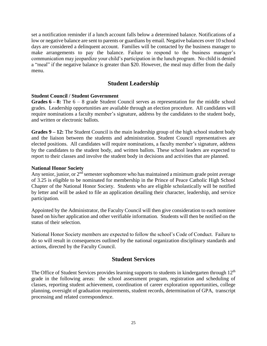set a notification reminder if a lunch account falls below a determined balance. Notifications of a low or negative balance are sent to parents or guardians by email. Negative balances over 10 school days are considered a delinquent account. Families will be contacted by the business manager to make arrangements to pay the balance. Failure to respond to the business manager's communication may jeopardize your child's participation in the lunch program. No child is denied a "meal" if the negative balance is greater than \$20. However, the meal may differ from the daily menu.

### **Student Leadership**

#### **Student Council / Student Government**

**Grades 6 – 8:** The 6 – 8 grade Student Council serves as representation for the middle school grades. Leadership opportunities are available through an election procedure. All candidates will require nominations a faculty member's signature, address by the candidates to the student body, and written or electronic ballots.

**Grades 9 – 12:** The Student Council is the main leadership group of the high school student body and the liaison between the students and administration. Student Council representatives are elected positions. All candidates will require nominations, a faculty member's signature, address by the candidates to the student body, and written ballots. These school leaders are expected to report to their classes and involve the student body in decisions and activities that are planned.

#### **National Honor Society**

Any senior, junior, or  $2<sup>nd</sup>$  semester sophomore who has maintained a minimum grade point average of 3.25 is eligible to be nominated for membership in the Prince of Peace Catholic High School Chapter of the National Honor Society. Students who are eligible scholastically will be notified by letter and will be asked to file an application detailing their character, leadership, and service participation.

Appointed by the Administrator, the Faculty Council will then give consideration to each nominee based on his/her application and other verifiable information. Students will then be notified on the status of their selection.

National Honor Society members are expected to follow the school's Code of Conduct. Failure to do so will result in consequences outlined by the national organization disciplinary standards and actions, directed by the Faculty Council.

### **Student Services**

The Office of Student Services provides learning supports to students in kindergarten through 12<sup>th</sup> grade in the following areas: the school assessment program, registration and scheduling of classes, reporting student achievement, coordination of career exploration opportunities, college planning, oversight of graduation requirements, student records, determination of GPA, transcript processing and related correspondence.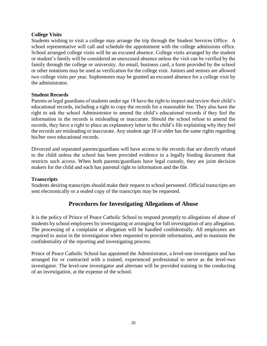#### **College Visits**

Students wishing to visit a college may arrange the trip through the Student Services Office. A school representative will call and schedule the appointment with the college admissions office. School arranged college visits will be an excused absence. College visits arranged by the student or student's family will be considered an unexcused absence unless the visit can be verified by the family through the college or university. An email, business card, a form provided by the school or other notations may be used as verification for the college visit. Juniors and seniors are allowed two college visits per year. Sophomores may be granted an excused absence for a college visit by the administrator.

#### **Student Records**

Parents or legal guardians of students under age 18 have the right to inspect and review their child's educational records, including a right to copy the records for a reasonable fee. They also have the right to ask the school Administrator to amend the child's educational records if they feel the information in the records is misleading or inaccurate. Should the school refuse to amend the records, they have a right to place an explanatory letter in the child's file explaining why they feel the records are misleading or inaccurate. Any student age 18 or older has the same rights regarding his/her own educational records.

Divorced and separated parents/guardians will have access to the records that are directly related to the child unless the school has been provided evidence in a legally binding document that restricts such access. When both parents/guardians have legal custody, they are joint decision makers for the child and each has parental right to information and the file.

#### **Transcripts**

Students desiring transcripts should make their request to school personnel. Official transcripts are sent electronically or a sealed copy of the transcripts may be requested.

### **Procedures for Investigating Allegations of Abuse**

It is the policy of Prince of Peace Catholic School to respond promptly to allegations of abuse of students by school employees by investigating or arranging for full investigation of any allegation. The processing of a complaint or allegation will be handled confidentially. All employees are required to assist in the investigation when requested to provide information, and to maintain the confidentiality of the reporting and investigating process.

Prince of Peace Catholic School has appointed the Administrator, a level-one investigator and has arranged for or contracted with a trained, experienced professional to serve as the level-two investigator. The level-one investigator and alternate will be provided training in the conducting of an investigation, at the expense of the school.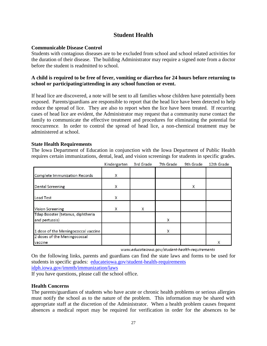### **Student Health**

#### **Communicable Disease Control**

Students with contagious diseases are to be excluded from school and school related activities for the duration of their disease. The building Administrator may require a signed note from a doctor before the student is readmitted to school.

#### **A child is required to be free of fever, vomiting or diarrhea for 24 hours before returning to school or participating/attending in any school function or event.**

If head lice are discovered, a note will be sent to all families whose children have potentially been exposed. Parents/guardians are responsible to report that the head lice have been detected to help reduce the spread of lice. They are also to report when the lice have been treated. If recurring cases of head lice are evident, the Administrator may request that a community nurse contact the family to communicate the effective treatment and procedures for eliminating the potential for reoccurrence. In order to control the spread of head lice, a non-chemical treatment may be administered at school.

#### **State Health Requirements**

The Iowa Department of Education in conjunction with the Iowa Department of Public Health requires certain immunizations, dental, lead, and vision screenings for students in specific grades.

|                                                     | Kindergarten | 3rd Grade | 7th Grade | 9th Grade | 12th Grade |
|-----------------------------------------------------|--------------|-----------|-----------|-----------|------------|
| <b>Complete Immunization Records</b>                | X            |           |           |           |            |
| <b>Dental Screening</b>                             | X            |           |           | X         |            |
| <b>Lead Test</b>                                    | X            |           |           |           |            |
| <b>Vision Screening</b>                             | X            | X         |           |           |            |
| Tdap Booster (tetanus, diphtheria<br>and pertussis) |              |           | X         |           |            |
| 1 dose of the Meningococcal vaccine                 |              |           | X         |           |            |
| 2 doses of the Meningococcal<br>vaccine             |              |           |           |           | X          |

www.educateiowa.gov/student-health-requirements

On the following links, parents and guardians can find the state laws and forms to be used for students in specific grades: [educateiowa.gov/student-health-requirements](https://educateiowa.gov/student-health-requirements) [idph.iowa.gov/immtb/immunization/laws](http://idph.iowa.gov/immtb/immunization/laws)

If you have questions, please call the school office.

#### **Health Concerns**

The parents/guardians of students who have acute or chronic health problems or serious allergies must notify the school as to the nature of the problem. This information may be shared with appropriate staff at the discretion of the Administrator. When a health problem causes frequent absences a medical report may be required for verification in order for the absences to be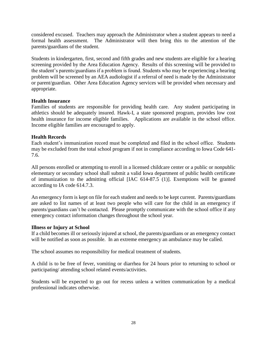considered excused. Teachers may approach the Administrator when a student appears to need a formal health assessment. The Administrator will then bring this to the attention of the parents/guardians of the student.

Students in kindergarten, first, second and fifth grades and new students are eligible for a hearing screening provided by the Area Education Agency. Results of this screening will be provided to the student's parents/guardians if a problem is found. Students who may be experiencing a hearing problem will be screened by an AEA audiologist if a referral of need is made by the Administrator or parent/guardian. Other Area Education Agency services will be provided when necessary and appropriate.

#### **Health Insurance**

Families of students are responsible for providing health care. Any student participating in athletics should be adequately insured. Hawk-I, a state sponsored program, provides low cost health insurance for income eligible families. Applications are available in the school office. Income eligible families are encouraged to apply.

#### **Health Records**

Each student's immunization record must be completed and filed in the school office. Students may be excluded from the total school program if not in compliance according to Iowa Code 641- 7.6.

All persons enrolled or attempting to enroll in a licensed childcare center or a public or nonpublic elementary or secondary school shall submit a valid Iowa department of public health certificate of immunization to the admitting official [IAC 614-87.5 (1)]. Exemptions will be granted according to IA code 614.7.3.

An emergency form is kept on file for each student and needs to be kept current. Parents/guardians are asked to list names of at least two people who will care for the child in an emergency if parents/guardians can't be contacted. Please promptly communicate with the school office if any emergency contact information changes throughout the school year.

#### **Illness or Injury at School**

If a child becomes ill or seriously injured at school, the parents/guardians or an emergency contact will be notified as soon as possible. In an extreme emergency an ambulance may be called.

The school assumes no responsibility for medical treatment of students.

A child is to be free of fever, vomiting or diarrhea for 24 hours prior to returning to school or participating/ attending school related events/activities.

Students will be expected to go out for recess unless a written communication by a medical professional indicates otherwise.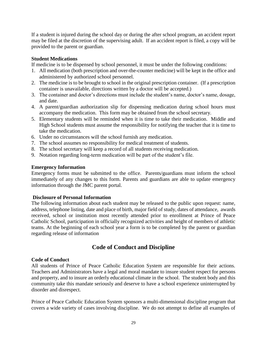If a student is injured during the school day or during the after school program, an accident report may be filed at the discretion of the supervising adult. If an accident report is filed, a copy will be provided to the parent or guardian.

#### **Student Medications**

If medicine is to be dispensed by school personnel, it must be under the following conditions:

- 1. All medication (both prescription and over-the-counter medicine) will be kept in the office and administered by authorized school personnel.
- 2. The medicine is to be brought to school in the original prescription container. (If a prescription container is unavailable, directions written by a doctor will be accepted.)
- 3. The container and doctor's directions must include the student's name, doctor's name, dosage, and date.
- 4. A parent/guardian authorization slip for dispensing medication during school hours must accompany the medication. This form may be obtained from the school secretary.
- 5. Elementary students will be reminded when it is time to take their medication. Middle and High School students must assume the responsibility for notifying the teacher that it is time to take the medication.
- 6. Under no circumstances will the school furnish any medication.
- 7. The school assumes no responsibility for medical treatment of students.
- 8. The school secretary will keep a record of all students receiving medication.
- 9. Notation regarding long-term medication will be part of the student's file.

#### **Emergency Information**

Emergency forms must be submitted to the office. Parents/guardians must inform the school immediately of any changes to this form. Parents and guardians are able to update emergency information through the JMC parent portal.

#### **Disclosure of Personal Information**

The following information about each student may be released to the public upon request: name, address, telephone listing, date and place of birth, major field of study, dates of attendance, awards received, school or institution most recently attended prior to enrollment at Prince of Peace Catholic School, participation in officially recognized activities and height of members of athletic teams. At the beginning of each school year a form is to be completed by the parent or guardian regarding release of information

### **Code of Conduct and Discipline**

#### **Code of Conduct**

All students of Prince of Peace Catholic Education System are responsible for their actions. Teachers and Administrators have a legal and moral mandate to insure student respect for persons and property, and to insure an orderly educational climate in the school. The student body and this community take this mandate seriously and deserve to have a school experience uninterrupted by disorder and disrespect.

Prince of Peace Catholic Education System sponsors a multi-dimensional discipline program that covers a wide variety of cases involving discipline. We do not attempt to define all examples of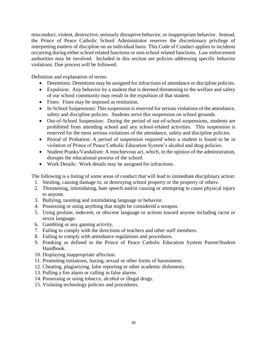misconduct, violent, destructive, seriously disruptive behavior, or inappropriate behavior. Instead, the Prince of Peace Catholic School Administrator reserves the discretionary privilege of interpreting matters of discipline on an individual basis. This Code of Conduct applies to incidents occurring during either school related functions or non-school related functions. Law enforcement authorities may be involved. Included in this section are policies addressing specific behavior violations. Due process will be followed.

Definition and explanation of terms:

- Detentions: Detentions may be assigned for infractions of attendance or discipline policies.
- Expulsion: Any behavior by a student that is deemed threatening to the welfare and safety of our school community may result in the expulsion of that student.
- Fines: Fines may be imposed as restitution.
- In-School Suspensions: This suspension is reserved for serious violations of the attendance, safety and discipline policies. Students serve this suspension on school grounds.
- Out-of-School Suspension: During the period of out-of-school suspensions, students are prohibited from attending school and any school-related activities. This suspension is reserved for the most serious violations of the attendance, safety and discipline policies.
- Period of Probation: A period of suspension required when a student is found to be in violation of Prince of Peace Catholic Education System's alcohol and drug policies.
- Student Pranks/Vandalism: A mischievous act, which, in the opinion of the administration, disrupts the educational process of the school.
- Work Details: Work details may be assigned for infractions.

The following is a listing of some areas of conduct that will lead to immediate disciplinary action:

- 1. Stealing, causing damage to, or destroying school property or the property of others.
- 2. Threatening, intimidating, hate speech and/or causing or attempting to cause physical injury to anyone.
- 3. Bullying, taunting and intimidating language or behavior.
- 4. Possessing or using anything that might be considered a weapon.
- 5. Using profane, indecent, or obscene language or actions toward anyone including racist or sexist language.
- 6. Gambling or any gaming activity.
- 7. Failing to comply with the directions of teachers and other staff members.
- 8. Failing to comply with attendance regulations and procedures.
- 9. Pranking as defined in the Prince of Peace Catholic Education System Parent/Student Handbook.
- 10. Displaying inappropriate affection.
- 11. Promoting initiations, hazing, sexual or other forms of harassment.
- 12. Cheating, plagiarizing, false reporting or other academic dishonesty.
- 13. Pulling a fire alarm or calling in false alarms.
- 14. Possessing or using tobacco, alcohol or illegal drugs.
- 15. Violating technology policies and procedures.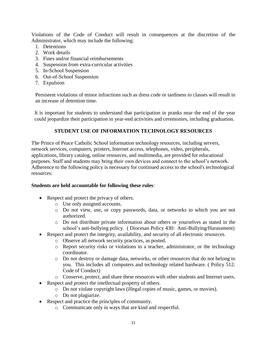Violations of the Code of Conduct will result in consequences at the discretion of the Administrator, which may include the following:

- 1. Detentions
- 2. Work details
- 3. Fines and/or financial reimbursements
- 4. Suspension from extra-curricular activities
- 5. In-School Suspension
- 6. Out-of-School Suspension
- 7. Expulsion

Persistent violations of minor infractions such as dress code or tardiness to classes will result in an increase of detention time.

It is important for students to understand that participation in pranks near the end of the year could jeopardize their participation in year-end activities and ceremonies, including graduation.

#### **STUDENT USE OF INFORMATION TECHNOLOGY RESOURCES**

The Prince of Peace Catholic School information technology resources, including servers, network services, computers, printers, Internet access, telephones, video, peripherals, applications, library catalog, online resources, and multimedia, are provided for educational purposes. Staff and students may bring their own devices and connect to the school's network. Adherence to the following policy is necessary for continued access to the school's technological resources:

#### **Students are held accountable for following these rules**:

- Respect and protect the privacy of others.
	- o Use only assigned accounts.
	- o Do not view, use, or copy passwords, data, or networks to which you are not authorized.
	- o Do not distribute private information about others or yourselves as stated in the school's anti-bullying policy. ( Diocesan Policy 430: Anti-Bullying/Harassment)
- Respect and protect the integrity, availability, and security of all electronic resources.
	- o Observe all network security practices, as posted.
	- o Report security risks or violations to a teacher, administrator, or the technology coordinator.
	- o Do not destroy or damage data, networks, or other resources that do not belong to you. This includes all computers and technology related hardware. ( Policy 512: Code of Conduct)
	- o Conserve, protect, and share these resources with other students and Internet users.
- Respect and protect the intellectual property of others.
	- o Do not violate copyright laws (illegal copies of music, games, or movies).
	- o Do not plagiarize.
- Respect and practice the principles of community.
	- o Communicate only in ways that are kind and respectful.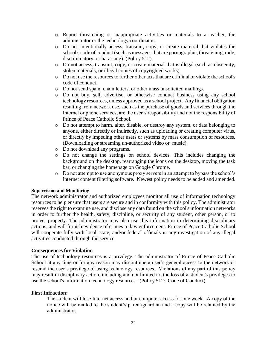- o Report threatening or inappropriate activities or materials to a teacher, the administrator or the technology coordinator.
- o Do not intentionally access, transmit, copy, or create material that violates the school's code of conduct (such as messages that are pornographic, threatening, rude, discriminatory, or harassing). (Policy 512)
- o Do not access, transmit, copy, or create material that is illegal (such as obscenity, stolen materials, or illegal copies of copyrighted works).
- o Do not use the resources to further other acts that are criminal or violate the school's code of conduct.
- o Do not send spam, chain letters, or other mass unsolicited mailings.
- o Do not buy, sell, advertise, or otherwise conduct business using any school technology resources, unless approved as a school project. Any financial obligation resulting from network use, such as the purchase of goods and services through the Internet or phone services, are the user's responsibility and not the responsibility of Prince of Peace Catholic School.
- o Do not attempt to harm, alter, disable, or destroy any system, or data belonging to anyone, either directly or indirectly, such as uploading or creating computer virus, or directly by impeding other users or systems by mass consumption of resources. (Downloading or streaming un-authorized video or music)
- o Do not download any programs.
- o Do not change the settings on school devices. This includes changing the background on the desktop, rearranging the icons on the desktop, moving the task bar, or changing the homepage on Google Chrome.
- o Do not attempt to use anonymous proxy servers in an attempt to bypass the school's Internet content filtering software. Newest policy needs to be added and amended.

#### **Supervision and Monitoring**

The network administrator and authorized employees monitor all use of information technology resources to help ensure that users are secure and in conformity with this policy. The administrator reserves the right to examine use, and disclose any data found on the school's information networks in order to further the health, safety, discipline, or security of any student, other person, or to protect property. The administrator may also use this information in determining disciplinary actions, and will furnish evidence of crimes to law enforcement. Prince of Peace Catholic School will cooperate fully with local, state, and/or federal officials in any investigation of any illegal activities conducted through the service.

#### **Consequences for Violation**

The use of technology resources is a privilege. The administrator of Prince of Peace Catholic School at any time or for any reason may discontinue a user's general access to the network or rescind the user's privilege of using technology resources. Violations of any part of this policy may result in disciplinary action, including and not limited to, the loss of a student's privileges to use the school's information technology resources. (Policy 512: Code of Conduct)

#### **First Infraction:**

The student will lose Internet access and or computer access for one week. A copy of the notice will be mailed to the student's parent/guardian and a copy will be retained by the administrator.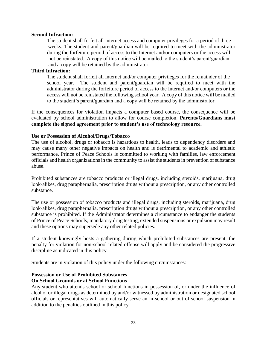#### **Second Infraction:**

The student shall forfeit all Internet access and computer privileges for a period of three weeks. The student and parent/guardian will be required to meet with the administrator during the forfeiture period of access to the Internet and/or computers or the access will not be reinstated. A copy of this notice will be mailed to the student's parent/guardian and a copy will be retained by the administrator.

#### **Third Infraction:**

The student shall forfeit all Internet and/or computer privileges for the remainder of the school year. The student and parent/guardian will be required to meet with the administrator during the forfeiture period of access to the Internet and/or computers or the access will not be reinstated the following school year. A copy of this notice will be mailed to the student's parent/guardian and a copy will be retained by the administrator.

If the consequences for violation impacts a computer based course, the consequence will be evaluated by school administration to allow for course completion. **Parents/Guardians must complete the signed agreement prior to student's use of technology resource.**

#### **Use or Possession of Alcohol/Drugs/Tobacco**

The use of alcohol, drugs or tobacco is hazardous to health, leads to dependency disorders and may cause many other negative impacts on health and is detrimental to academic and athletic performance. Prince of Peace Schools is committed to working with families, law enforcement officials and health organizations in the community to assist the students in prevention of substance abuse.

Prohibited substances are tobacco products or illegal drugs, including steroids, marijuana, drug look-alikes, drug paraphernalia, prescription drugs without a prescription, or any other controlled substance.

The use or possession of tobacco products and illegal drugs, including steroids, marijuana, drug look-alikes, drug paraphernalia, prescription drugs without a prescription, or any other controlled substance is prohibited. If the Administrator determines a circumstance to endanger the students of Prince of Peace Schools, mandatory drug testing, extended suspensions or expulsion may result and these options may supersede any other related policies.

If a student knowingly hosts a gathering during which prohibited substances are present, the penalty for violation for non-school related offense will apply and be considered the progressive discipline as indicated in this policy.

Students are in violation of this policy under the following circumstances:

#### **Possession or Use of Prohibited Substances**

#### **On School Grounds or at School Functions**

Any student who attends school or school functions in possession of, or under the influence of alcohol or illegal drugs as determined by and/or witnessed by administration or designated school officials or representatives will automatically serve an in-school or out of school suspension in addition to the penalties outlined in this policy.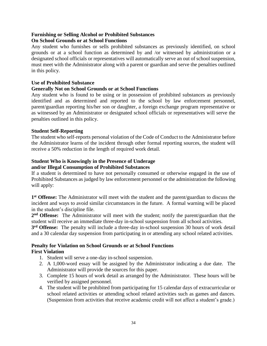#### **Furnishing or Selling Alcohol or Prohibited Substances On School Grounds or at School Functions**

Any student who furnishes or sells prohibited substances as previously identified, on school grounds or at a school function as determined by and /or witnessed by administration or a designated school officials or representatives will automatically serve an out of school suspension, must meet with the Administrator along with a parent or guardian and serve the penalties outlined in this policy.

#### **Use of Prohibited Substance**

#### **Generally Not on School Grounds or at School Functions**

Any student who is found to be using or in possession of prohibited substances as previously identified and as determined and reported to the school by law enforcement personnel, parent/guardian reporting his/her son or daughter, a foreign exchange program representative or as witnessed by an Administrator or designated school officials or representatives will serve the penalties outlined in this policy.

#### **Student Self-Reporting**

The student who self-reports personal violation of the Code of Conduct to the Administrator before the Administrator learns of the incident through other formal reporting sources, the student will receive a 50% reduction in the length of required work detail.

### **Student Who is Knowingly in the Presence of Underage**

#### **and/or Illegal Consumption of Prohibited Substances**

If a student is determined to have not personally consumed or otherwise engaged in the use of Prohibited Substances as judged by law enforcement personnel or the administration the following will apply:

**1 st Offense:** The Administrator will meet with the student and the parent/guardian to discuss the incident and ways to avoid similar circumstances in the future. A formal warning will be placed in the student's discipline file.

**2 nd Offense:** The Administrator will meet with the student; notify the parent/guardian that the student will receive an immediate three-day in-school suspension from all school activities.

**3 rd Offense:** The penalty will include a three-day in-school suspension 30 hours of work detail and a 30 calendar day suspension from participating in or attending any school related activities.

#### **Penalty for Violation on School Grounds or at School Functions First Violation**

- 1. Student will serve a one-day in-school suspension.
- 2. A 1,000-word essay will be assigned by the Administrator indicating a due date. The Administrator will provide the sources for this paper.
- 3. Complete 15 hours of work detail as arranged by the Administrator. These hours will be verified by assigned personnel.
- 4. The student will be prohibited from participating for 15 calendar days of extracurricular or school related activities or attending school related activities such as games and dances. (Suspension from activities that receive academic credit will not affect a student's grade.)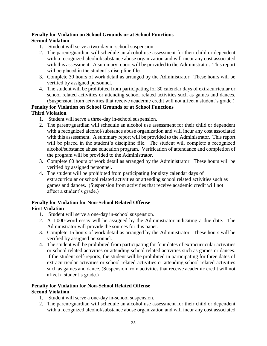#### **Penalty for Violation on School Grounds or at School Functions Second Violation**

- 1. Student will serve a two-day in-school suspension.
- 2. The parent/guardian will schedule an alcohol use assessment for their child or dependent with a recognized alcohol/substance abuse organization and will incur any cost associated with this assessment. A summary report will be provided to the Administrator. This report will be placed in the student's discipline file.
- 3. Complete 30 hours of work detail as arranged by the Administrator. These hours will be verified by assigned personnel.
- 4. The student will be prohibited from participating for 30 calendar days of extracurricular or school related activities or attending school related activities such as games and dances. (Suspension from activities that receive academic credit will not affect a student's grade.)

#### **Penalty for Violation on School Grounds or at School Functions Third Violation**

- 1. Student will serve a three-day in-school suspension.
- 2. The parent/guardian will schedule an alcohol use assessment for their child or dependent with a recognized alcohol/substance abuse organization and will incur any cost associated with this assessment. A summary report will be provided to the Administrator. This report will be placed in the student's discipline file. The student will complete a recognized alcohol/substance abuse education program. Verification of attendance and completion of the program will be provided to the Administrator.
- 3. Complete 60 hours of work detail as arranged by the Administrator. These hours will be verified by assigned personnel.
- 4. The student will be prohibited from participating for sixty calendar days of extracurricular or school related activities or attending school related activities such as games and dances. (Suspension from activities that receive academic credit will not affect a student's grade.)

## **Penalty for Violation for Non-School Related Offense**

#### **First Violation**

- 1. Student will serve a one-day in-school suspension.
- 2. A 1,000-word essay will be assigned by the Administrator indicating a due date. The Administrator will provide the sources for this paper.
- 3. Complete 15 hours of work detail as arranged by the Administrator. These hours will be verified by assigned personnel.
- 4. The student will be prohibited from participating for four dates of extracurricular activities or school related activities or attending school related activities such as games or dances. If the student self-reports, the student will be prohibited in participating for three dates of extracurricular activities or school related activities or attending school related activities such as games and dance. (Suspension from activities that receive academic credit will not affect a student's grade.)

#### **Penalty for Violation for Non-School Related Offense Second Violation**

- 1. Student will serve a one-day in-school suspension.
- 2. The parent/guardian will schedule an alcohol use assessment for their child or dependent with a recognized alcohol/substance abuse organization and will incur any cost associated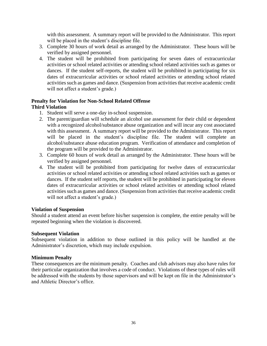with this assessment. A summary report will be provided to the Administrator. This report will be placed in the student's discipline file.

- 3. Complete 30 hours of work detail as arranged by the Administrator. These hours will be verified by assigned personnel.
- 4. The student will be prohibited from participating for seven dates of extracurricular activities or school related activities or attending school related activities such as games or dances. If the student self-reports, the student will be prohibited in participating for six dates of extracurricular activities or school related activities or attending school related activities such as games and dance. (Suspension from activities that receive academic credit will not affect a student's grade.)

### **Penalty for Violation for Non-School Related Offense**

### **Third Violation**

- 1. Student will serve a one-day in-school suspension.
- 2. The parent/guardian will schedule an alcohol use assessment for their child or dependent with a recognized alcohol/substance abuse organization and will incur any cost associated with this assessment. A summary report will be provided to the Administrator. This report will be placed in the student's discipline file. The student will complete an alcohol/substance abuse education program. Verification of attendance and completion of the program will be provided to the Administrator.
- 3. Complete 60 hours of work detail as arranged by the Administrator. These hours will be verified by assigned personnel.
- 4. The student will be prohibited from participating for twelve dates of extracurricular activities or school related activities or attending school related activities such as games or dances. If the student self reports, the student will be prohibited in participating for eleven dates of extracurricular activities or school related activities or attending school related activities such as games and dance. (Suspension from activities that receive academic credit will not affect a student's grade.)

#### **Violation of Suspension**

Should a student attend an event before his/her suspension is complete, the entire penalty will be repeated beginning when the violation is discovered.

#### **Subsequent Violation**

Subsequent violation in addition to those outlined in this policy will be handled at the Administrator's discretion, which may include expulsion.

#### **Minimum Penalty**

These consequences are the minimum penalty. Coaches and club advisors may also have rules for their particular organization that involves a code of conduct. Violations of these types of rules will be addressed with the students by those supervisors and will be kept on file in the Administrator's and Athletic Director's office.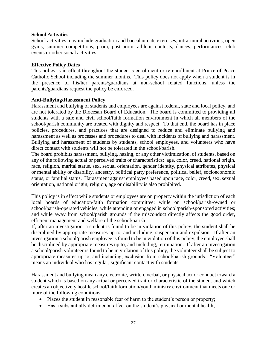#### **School Activities**

School activities may include graduation and baccalaureate exercises, intra-mural activities, open gyms, summer competitions, prom, post-prom, athletic contests, dances, performances, club events or other social activities.

#### **Effective Policy Dates**

This policy is in effect throughout the student's enrollment or re-enrollment at Prince of Peace Catholic School including the summer months. This policy does not apply when a student is in the presence of his/her parents/guardians at non-school related functions, unless the parents/guardians request the policy be enforced.

#### **Anti-Bullying/Harassment Policy**

Harassment and bullying of students and employees are against federal, state and local policy, and are not tolerated by the Diocesan Board of Education. The board is committed to providing all students with a safe and civil school/faith formation environment in which all members of the school/parish community are treated with dignity and respect. To that end, the board has in place policies, procedures, and practices that are designed to reduce and eliminate bullying and harassment as well as processes and procedures to deal with incidents of bullying and harassment. Bullying and harassment of students by students, school employees, and volunteers who have direct contact with students will not be tolerated in the school/parish.

The board prohibits harassment, bullying, hazing, or any other victimization, of students, based on any of the following actual or perceived traits or characteristics: age, color, creed, national origin, race, religion, marital status, sex, sexual orientation, gender identity, physical attributes, physical or mental ability or disability, ancestry, political party preference, political belief, socioeconomic status, or familial status. Harassment against employees based upon race, color, creed, sex, sexual orientation, national origin, religion, age or disability is also prohibited.

This policy is in effect while students or employees are on property within the jurisdiction of each local boards of education/faith formation committee; while on school/parish-owned or school/parish-operated vehicles; while attending or engaged in school/parish-sponsored activities; and while away from school/parish grounds if the misconduct directly affects the good order, efficient management and welfare of the school/parish.

If, after an investigation, a student is found to be in violation of this policy, the student shall be disciplined by appropriate measures up to, and including, suspension and expulsion. If after an investigation a school/parish employee is found to be in violation of this policy, the employee shall be disciplined by appropriate measures up to, and including, termination. If after an investigation a school/parish volunteer is found to be in violation of this policy, the volunteer shall be subject to appropriate measures up to, and including, exclusion from school/parish grounds. "Volunteer" means an individual who has regular, significant contact with students.

Harassment and bullying mean any electronic, written, verbal, or physical act or conduct toward a student which is based on any actual or perceived trait or characteristic of the student and which creates an objectively hostile school/faith formation/youth ministry environment that meets one or more of the following conditions:

- Places the student in reasonable fear of harm to the student's person or property;
- Has a substantially detrimental effect on the student's physical or mental health;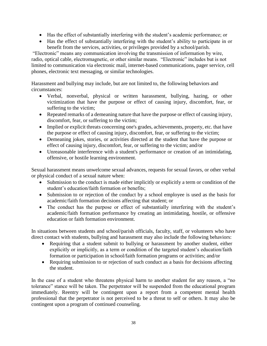- Has the effect of substantially interfering with the student's academic performance; or
- Has the effect of substantially interfering with the student's ability to participate in or benefit from the services, activities, or privileges provided by a school/parish.

"Electronic" means any communication involving the transmission of information by wire, radio, optical cable, electromagnetic, or other similar means. "Electronic" includes but is not limited to communication via electronic mail, internet-based communications, pager service, cell phones, electronic text messaging, or similar technologies.

Harassment and bullying may include, but are not limited to, the following behaviors and circumstances:

- Verbal, nonverbal, physical or written harassment, bullying, hazing, or other victimization that have the purpose or effect of causing injury, discomfort, fear, or suffering to the victim;
- Repeated remarks of a demeaning nature that have the purpose or effect of causing injury, discomfort, fear, or suffering to the victim;
- Implied or explicit threats concerning one's grades, achievements, property, etc. that have the purpose or effect of causing injury, discomfort, fear, or suffering to the victim;
- Demeaning jokes, stories, or activities directed at the student that have the purpose or effect of causing injury, discomfort, fear, or suffering to the victim; and/or
- Unreasonable interference with a student's performance or creation of an intimidating, offensive, or hostile learning environment.

Sexual harassment means unwelcome sexual advances, requests for sexual favors, or other verbal or physical conduct of a sexual nature when:

- Submission to the conduct is made either implicitly or explicitly a term or condition of the student's education/faith formation or benefits;
- Submission to or rejection of the conduct by a school employee is used as the basis for academic/faith formation decisions affecting that student; or
- The conduct has the purpose or effect of substantially interfering with the student's academic/faith formation performance by creating an intimidating, hostile, or offensive education or faith formation environment.

In situations between students and school/parish officials, faculty, staff, or volunteers who have direct contact with students, bullying and harassment may also include the following behaviors:

- Requiring that a student submit to bullying or harassment by another student, either explicitly or implicitly, as a term or condition of the targeted student's education/faith formation or participation in school/faith formation programs or activities; and/or
- Requiring submission to or rejection of such conduct as a basis for decisions affecting the student.

In the case of a student who threatens physical harm to another student for any reason, a "no tolerance" stance will be taken. The perpetrator will be suspended from the educational program immediately. Reentry will be contingent upon a report from a competent mental health professional that the perpetrator is not perceived to be a threat to self or others. It may also be contingent upon a program of continued counseling.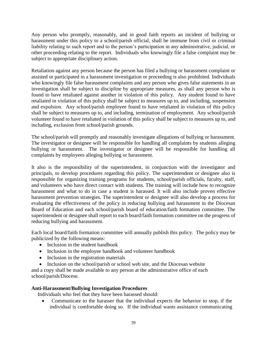Any person who promptly, reasonably, and in good faith reports an incident of bullying or harassment under this policy to a school/parish official, shall be immune from civil or criminal liability relating to such report and to the person's participation in any administrative, judicial, or other proceeding relating to the report. Individuals who knowingly file a false complaint may be subject to appropriate disciplinary action.

Retaliation against any person because the person has filed a bullying or harassment complaint or assisted or participated in a harassment investigation or proceeding is also prohibited. Individuals who knowingly file false harassment complaints and any person who gives false statements in an investigation shall be subject to discipline by appropriate measures, as shall any person who is found to have retaliated against another in violation of this policy. Any student found to have retaliated in violation of this policy shall be subject to measures up to, and including, suspension and expulsion. Any school/parish employee found to have retaliated in violation of this policy shall be subject to measures up to, and including, termination of employment. Any school/parish volunteer found to have retaliated in violation of this policy shall be subject to measures up to, and including, exclusion from school/parish grounds.

The school/parish will promptly and reasonably investigate allegations of bullying or harassment. The investigator or designee will be responsible for handling all complaints by students alleging bullying or harassment. The investigator or designee will be responsible for handling all complaints by employees alleging bullying or harassment.

It also is the responsibility of the superintendent, in conjunction with the investigator and principals, to develop procedures regarding this policy. The superintendent or designee also is responsible for organizing training programs for students, school/parish officials, faculty, staff, and volunteers who have direct contact with students. The training will include how to recognize harassment and what to do in case a student is harassed. It will also include proven effective harassment prevention strategies. The superintendent or designee will also develop a process for evaluating the effectiveness of the policy in reducing bullying and harassment in the Diocesan Board of Education and each school/parish board of education/faith formation committee. The superintendent or designee shall report to each board/faith formation committee on the progress of reducing bullying and harassment.

Each local board/faith formation committee will annually publish this policy. The policy may be publicized by the following means:

- Inclusion in the student handbook
- Inclusion in the employee handbook and volunteer handbook
- Inclusion in the registration materials
- Inclusion on the school/parish or school web site, and the Diocesan website

and a copy shall be made available to any person at the administrative office of each school/parish/Diocese.

#### **Anti-Harassment/Bullying Investigation Procedures**

Individuals who feel that they have been harassed should:

 Communicate to the harasser that the individual expects the behavior to stop, if the individual is comfortable doing so. If the individual wants assistance communicating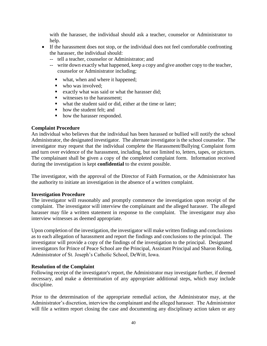with the harasser, the individual should ask a teacher, counselor or Administrator to help.

- If the harassment does not stop, or the individual does not feel comfortable confronting the harasser, the individual should:
	- -- tell a teacher, counselor or Administrator; and
	- -- write down exactly what happened, keep a copy and give another copy to the teacher, counselor or Administrator including;
		- what, when and where it happened;
		- who was involved:
		- exactly what was said or what the harasser did;
		- witnesses to the harassment;
		- what the student said or did, either at the time or later;
		- how the student felt; and
		- how the harasser responded.

#### **Complaint Procedure**

An individual who believes that the individual has been harassed or bullied will notify the school Administrator, the designated investigator. The alternate investigator is the school counselor. The investigator may request that the individual complete the Harassment/Bullying Complaint form and turn over evidence of the harassment, including, but not limited to, letters, tapes, or pictures. The complainant shall be given a copy of the completed complaint form. Information received during the investigation is kept **confidential** to the extent possible.

The investigator, with the approval of the Director of Faith Formation, or the Administrator has the authority to initiate an investigation in the absence of a written complaint.

#### **Investigation Procedure**

The investigator will reasonably and promptly commence the investigation upon receipt of the complaint. The investigator will interview the complainant and the alleged harasser. The alleged harasser may file a written statement in response to the complaint. The investigator may also interview witnesses as deemed appropriate.

Upon completion of the investigation, the investigator will make written findings and conclusions as to each allegation of harassment and report the findings and conclusions to the principal. The investigator will provide a copy of the findings of the investigation to the principal. Designated investigators for Prince of Peace School are the Principal, Assistant Principal and Sharon Roling, Administrator of St. Joseph's Catholic School, DeWitt, Iowa.

#### **Resolution of the Complaint**

Following receipt of the investigator's report, the Administrator may investigate further, if deemed necessary, and make a determination of any appropriate additional steps, which may include discipline.

Prior to the determination of the appropriate remedial action, the Administrator may, at the Administrator's discretion, interview the complainant and the alleged harasser. The Administrator will file a written report closing the case and documenting any disciplinary action taken or any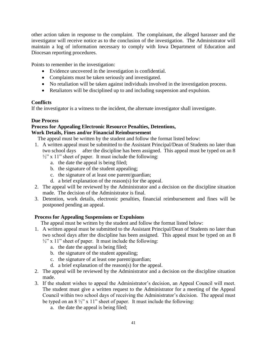other action taken in response to the complaint. The complainant, the alleged harasser and the investigator will receive notice as to the conclusion of the investigation. The Administrator will maintain a log of information necessary to comply with Iowa Department of Education and Diocesan reporting procedures.

Points to remember in the investigation:

- Evidence uncovered in the investigation is confidential.
- Complaints must be taken seriously and investigated.
- No retaliation will be taken against individuals involved in the investigation process.
- Retaliators will be disciplined up to and including suspension and expulsion.

#### **Conflicts**

If the investigator is a witness to the incident, the alternate investigator shall investigate.

#### **Due Process**

#### **Process for Appealing Electronic Resource Penalties, Detentions, Work Details, Fines and/or Financial Reimbursement**

The appeal must be written by the student and follow the format listed below:

- 1. A written appeal must be submitted to the Assistant Principal/Dean of Students no later than two school days after the discipline has been assigned. This appeal must be typed on an 8  $\frac{1}{2}$ " x 11" sheet of paper. It must include the following:
	- a. the date the appeal is being filed;
	- b. the signature of the student appealing;
	- c. the signature of at least one parent/guardian;
	- d. a brief explanation of the reason(s) for the appeal.
- 2. The appeal will be reviewed by the Administrator and a decision on the discipline situation made. The decision of the Administrator is final.
- 3. Detention, work details, electronic penalties, financial reimbursement and fines will be postponed pending an appeal.

### **Process for Appealing Suspensions or Expulsions**

The appeal must be written by the student and follow the format listed below:

- 1. A written appeal must be submitted to the Assistant Principal/Dean of Students no later than two school days after the discipline has been assigned. This appeal must be typed on an 8
	- $\frac{1}{2}$ " x 11" sheet of paper. It must include the following:
		- a. the date the appeal is being filed;
		- b. the signature of the student appealing;
		- c. the signature of at least one parent/guardian;
		- d. a brief explanation of the reason(s) for the appeal.
- 2. The appeal will be reviewed by the Administrator and a decision on the discipline situation made.
- 3. If the student wishes to appeal the Administrator's decision, an Appeal Council will meet. The student must give a written request to the Administrator for a meeting of the Appeal Council within two school days of receiving the Administrator's decision. The appeal must be typed on an  $8\frac{1}{2}$ " x 11" sheet of paper. It must include the following:
	- a. the date the appeal is being filed;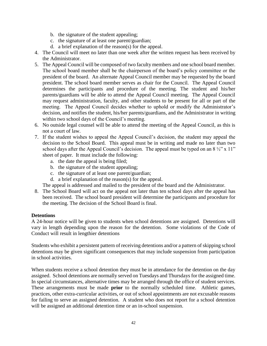- b. the signature of the student appealing;
- c. the signature of at least one parent/guardian;
- d. a brief explanation of the reason(s) for the appeal.
- 4. The Council will meet no later than one week after the written request has been received by the Administrator.
- 5. The Appeal Council will be composed of two faculty members and one school board member. The school board member shall be the chairperson of the board's policy committee or the president of the board. An alternate Appeal Council member may be requested by the board president. The school board member serves as chair for the Council. The Appeal Council determines the participants and procedure of the meeting. The student and his/her parents/guardians will be able to attend the Appeal Council meeting. The Appeal Council may request administration, faculty, and other students to be present for all or part of the meeting. The Appeal Council decides whether to uphold or modify the Administrator's decision, and notifies the student, his/her parents/guardians, and the Administrator in writing within two school days of the Council's meeting.
- 6. No outside legal counsel will be able to attend the meeting of the Appeal Council, as this is not a court of law.
- 7. If the student wishes to appeal the Appeal Council's decision, the student may appeal the decision to the School Board. This appeal must be in writing and made no later than two school days after the Appeal Council's decision. The appeal must be typed on an  $8\frac{1}{2}$ " x 11" sheet of paper. It must include the following:
	- a. the date the appeal is being filed;
	- b. the signature of the student appealing;
	- c. the signature of at least one parent/guardian;
	- d. a brief explanation of the reason(s) for the appeal.

The appeal is addressed and mailed to the president of the board and the Administrator.

8. The School Board will act on the appeal not later than ten school days after the appeal has been received. The school board president will determine the participants and procedure for the meeting. The decision of the School Board is final.

#### **Detentions**

A 24-hour notice will be given to students when school detentions are assigned. Detentions will vary in length depending upon the reason for the detention. Some violations of the Code of Conduct will result in lengthier detentions

Students who exhibit a persistent pattern of receiving detentions and/or a pattern of skipping school detentions may be given significant consequences that may include suspension from participation in school activities.

When students receive a school detention they must be in attendance for the detention on the day assigned. School detentions are normally served on Tuesdays and Thursdays for the assigned time. In special circumstances, alternative times may be arranged through the office of student services. These arrangements must be made **prior** to the normally scheduled time. Athletic games, practices, other extra-curricular activities, or out of school appointments are not excusable reasons for failing to serve an assigned detention. A student who does not report for a school detention will be assigned an additional detention time or an in-school suspension.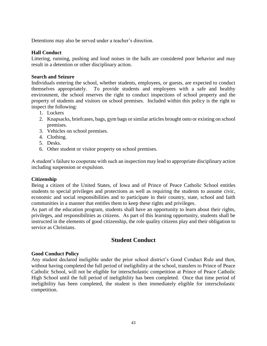Detentions may also be served under a teacher's direction.

#### **Hall Conduct**

Littering, running, pushing and loud noises in the halls are considered poor behavior and may result in a detention or other disciplinary action.

#### **Search and Seizure**

Individuals entering the school, whether students, employees, or guests, are expected to conduct themselves appropriately. To provide students and employees with a safe and healthy environment, the school reserves the right to conduct inspections of school property and the property of students and visitors on school premises. Included within this policy is the right to inspect the following:

- 1. Lockers
- 2. Knapsacks, briefcases, bags, gym bags or similar articles brought onto or existing on school premises.
- 3. Vehicles on school premises.
- 4. Clothing.
- 5. Desks.
- 6. Other student or visitor property on school premises.

A student's failure to cooperate with such an inspection may lead to appropriate disciplinary action including suspension or expulsion.

#### **Citizenship**

Being a citizen of the United States, of Iowa and of Prince of Peace Catholic School entitles students to special privileges and protections as well as requiring the students to assume civic, economic and social responsibilities and to participate in their country, state, school and faith communities in a manner that entitles them to keep these rights and privileges.

As part of the education program, students shall have an opportunity to learn about their rights, privileges, and responsibilities as citizens. As part of this learning opportunity, students shall be instructed in the elements of good citizenship, the role quality citizens play and their obligation to service as Christians.

#### **Student Conduct**

#### **Good Conduct Policy**

Any student declared ineligible under the prior school district's Good Conduct Rule and then, without having completed the full period of ineligibility at the school, transfers to Prince of Peace Catholic School, will not be eligible for interscholastic competition at Prince of Peace Catholic High School until the full period of ineligibility has been completed. Once that time period of ineligibility has been completed, the student is then immediately eligible for interscholastic competition.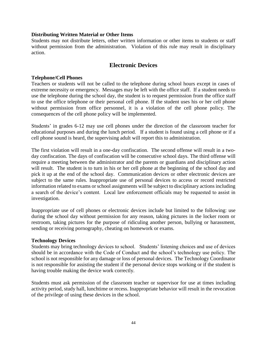#### **Distributing Written Material or Other Items**

Students may not distribute letters, other written information or other items to students or staff without permission from the administration. Violation of this rule may result in disciplinary action.

### **Electronic Devices**

#### **Telephone/Cell Phones**

Teachers or students will not be called to the telephone during school hours except in cases of extreme necessity or emergency. Messages may be left with the office staff. If a student needs to use the telephone during the school day, the student is to request permission from the office staff to use the office telephone or their personal cell phone. If the student uses his or her cell phone without permission from office personnel, it is a violation of the cell phone policy. The consequences of the cell phone policy will be implemented.

Students' in grades 6-12 may use cell phones under the direction of the classroom teacher for educational purposes and during the lunch period. If a student is found using a cell phone or if a cell phone sound is heard, the supervising adult will report this to administration.

The first violation will result in a one-day confiscation. The second offense will result in a twoday confiscation. The days of confiscation will be consecutive school days. The third offense will require a meeting between the administrator and the parents or guardians and disciplinary action will result. The student is to turn in his or her cell phone at the beginning of the school day and pick it up at the end of the school day. Communication devices or other electronic devices are subject to the same rules. Inappropriate use of personal devices to access or record restricted information related to exams or school assignments will be subject to disciplinary actions including a search of the device's content. Local law enforcement officials may be requested to assist in investigation.

Inappropriate use of cell phones or electronic devices include but limited to the following: use during the school day without permission for any reason, taking pictures in the locker room or restroom, taking pictures for the purpose of ridiculing another person, bullying or harassment, sending or receiving pornography, cheating on homework or exams.

#### **Technology Devices**

Students may bring technology devices to school. Students' listening choices and use of devices should be in accordance with the Code of Conduct and the school's technology use policy. The school is not responsible for any damage or loss of personal devices. The Technology Coordinator is not responsible for assisting the student if the personal device stops working or if the student is having trouble making the device work correctly.

Students must ask permission of the classroom teacher or supervisor for use at times including activity period, study hall, lunchtime or recess. Inappropriate behavior will result in the revocation of the privilege of using these devices in the school.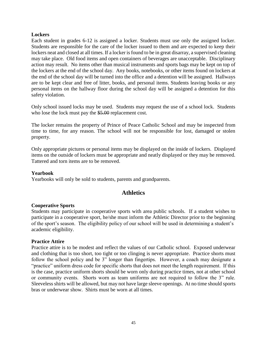#### **Lockers**

Each student in grades 6-12 is assigned a locker. Students must use only the assigned locker. Students are responsible for the care of the locker issued to them and are expected to keep their lockers neat and closed at all times. If a locker is found to be in great disarray, a supervised cleaning may take place. Old food items and open containers of beverages are unacceptable. Disciplinary action may result. No items other than musical instruments and sports bags may be kept on top of the lockers at the end of the school day. Any books, notebooks, or other items found on lockers at the end of the school day will be turned into the office and a detention will be assigned. Hallways are to be kept clear and free of litter, books, and personal items. Students leaving books or any personal items on the hallway floor during the school day will be assigned a detention for this safety violation.

Only school issued locks may be used. Students may request the use of a school lock. Students who lose the lock must pay the \$5.00 replacement cost.

The locker remains the property of Prince of Peace Catholic School and may be inspected from time to time, for any reason. The school will not be responsible for lost, damaged or stolen property.

Only appropriate pictures or personal items may be displayed on the inside of lockers. Displayed items on the outside of lockers must be appropriate and neatly displayed or they may be removed. Tattered and torn items are to be removed.

#### **Yearbook**

Yearbooks will only be sold to students, parents and grandparents.

### **Athletics**

#### **Cooperative Sports**

Students may participate in cooperative sports with area public schools. If a student wishes to participate in a cooperative sport, he/she must inform the Athletic Director prior to the beginning of the sport's season. The eligibility policy of our school will be used in determining a student's academic eligibility.

#### **Practice Attire**

Practice attire is to be modest and reflect the values of our Catholic school. Exposed underwear and clothing that is too short, too tight or too clinging is never appropriate. Practice shorts must follow the school policy and be 3" longer than fingertips. However, a coach may designate a "practice" uniform dress code for specific shorts that does not meet the length requirement. If this is the case, practice uniform shorts should be worn only during practice times, not at other school or community events. Shorts worn as team uniforms are not required to follow the 3" rule. Sleeveless shirts will be allowed, but may not have large sleeve openings. At no time should sports bras or underwear show. Shirts must be worn at all times.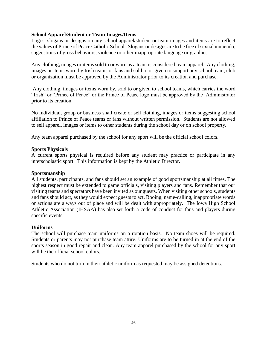#### **School Apparel/Student or Team Images/Items**

Logos, slogans or designs on any school apparel/student or team images and items are to reflect the values of Prince of Peace Catholic School. Slogans or designs are to be free of sexual innuendo, suggestions of gross behaviors, violence or other inappropriate language or graphics.

Any clothing**,** images or items sold to or worn as a team is considered team apparel. Any clothing, images or items worn by Irish teams or fans and sold to or given to support any school team, club or organization must be approved by the Administrator prior to its creation and purchase.

Any clothing, images or items worn by, sold to or given to school teams, which carries the word "Irish" or "Prince of Peace" or the Prince of Peace logo must be approved by the Administrator prior to its creation.

No individual, group or business shall create or sell clothing, images or items suggesting school affiliation to Prince of Peace teams or fans without written permission. Students are not allowed to sell apparel, images or items to other students during the school day or on school property.

Any team apparel purchased by the school for any sport will be the official school colors.

#### **Sports Physicals**

A current sports physical is required before any student may practice or participate in any interscholastic sport. This information is kept by the Athletic Director.

#### **Sportsmanship**

All students, participants, and fans should set an example of good sportsmanship at all times. The highest respect must be extended to game officials, visiting players and fans. Remember that our visiting teams and spectators have been invited as our guests. When visiting other schools, students and fans should act, as they would expect guests to act. Booing, name-calling, inappropriate words or actions are always out of place and will be dealt with appropriately. The Iowa High School Athletic Association (IHSAA) has also set forth a code of conduct for fans and players during specific events.

#### **Uniforms**

The school will purchase team uniforms on a rotation basis. No team shoes will be required. Students or parents may not purchase team attire. Uniforms are to be turned in at the end of the sports season in good repair and clean. Any team apparel purchased by the school for any sport will be the official school colors.

Students who do not turn in their athletic uniform as requested may be assigned detentions.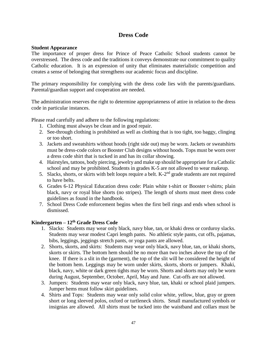### **Dress Code**

#### **Student Appearance**

The importance of proper dress for Prince of Peace Catholic School students cannot be overstressed. The dress code and the traditions it conveys demonstrate our commitment to quality Catholic education. It is an expression of unity that eliminates materialistic competition and creates a sense of belonging that strengthens our academic focus and discipline.

The primary responsibility for complying with the dress code lies with the parents/guardians. Parental/guardian support and cooperation are needed.

The administration reserves the right to determine appropriateness of attire in relation to the dress code in particular instances.

Please read carefully and adhere to the following regulations:

- 1. Clothing must always be clean and in good repair.
- 2. See-through clothing is prohibited as well as clothing that is too tight, too baggy, clinging or too short.
- 3. Jackets and sweatshirts without hoods (right side out) may be worn. Jackets or sweatshirts must be dress-code colors or Booster Club designs without hoods. Tops must be worn over a dress code shirt that is tucked in and has its collar showing.
- 4. Hairstyles, tattoos, body piercing, jewelry and make up should be appropriate for a Catholic school and may be prohibited. Students in grades K-5 are not allowed to wear makeup.
- 5. Slacks, shorts, or skirts with belt loops require a belt.  $K-2<sup>nd</sup>$  grade students are not required to have belts.
- 6. Grades 6-12 Physical Education dress code: Plain white t-shirt or Booster t-shirts; plain black, navy or royal blue shorts (no stripes). The length of shorts must meet dress code guidelines as found in the handbook.
- 7. School Dress Code enforcement begins when the first bell rings and ends when school is dismissed.

#### **Kindergarten – 12th Grade Dress Code**

- 1. Slacks:Students may wear only black, navy blue, tan, or khaki dress or corduroy slacks. Students may wear modest Capri length pants. No athletic style pants, cut offs, pajamas, bibs, leggings, jeggings stretch pants, or yoga pants are allowed.
- 2. Shorts, skorts, and skirts: Students may wear only black, navy blue, tan, or khaki shorts, skorts or skirts. The bottom hem should be no more than two inches above the top of the knee. If there is a slit in the (garment), the top of the slit will be considered the height of the bottom hem. Leggings may be worn under skirts, skorts, shorts or jumpers. Khaki, black, navy, white or dark green tights may be worn. Shorts and skorts may only be worn during August, September, October, April, May and June. Cut-offs are not allowed.
- 3. Jumpers: Students may wear only black, navy blue, tan, khaki or school plaid jumpers. Jumper hems must follow skirt guidelines.
- 4. Shirts and Tops: Students may wear only solid color white, yellow, blue, gray or green short or long sleeved polos, oxford or turtleneck shirts. Small manufactured symbols or insignias are allowed. All shirts must be tucked into the waistband and collars must be